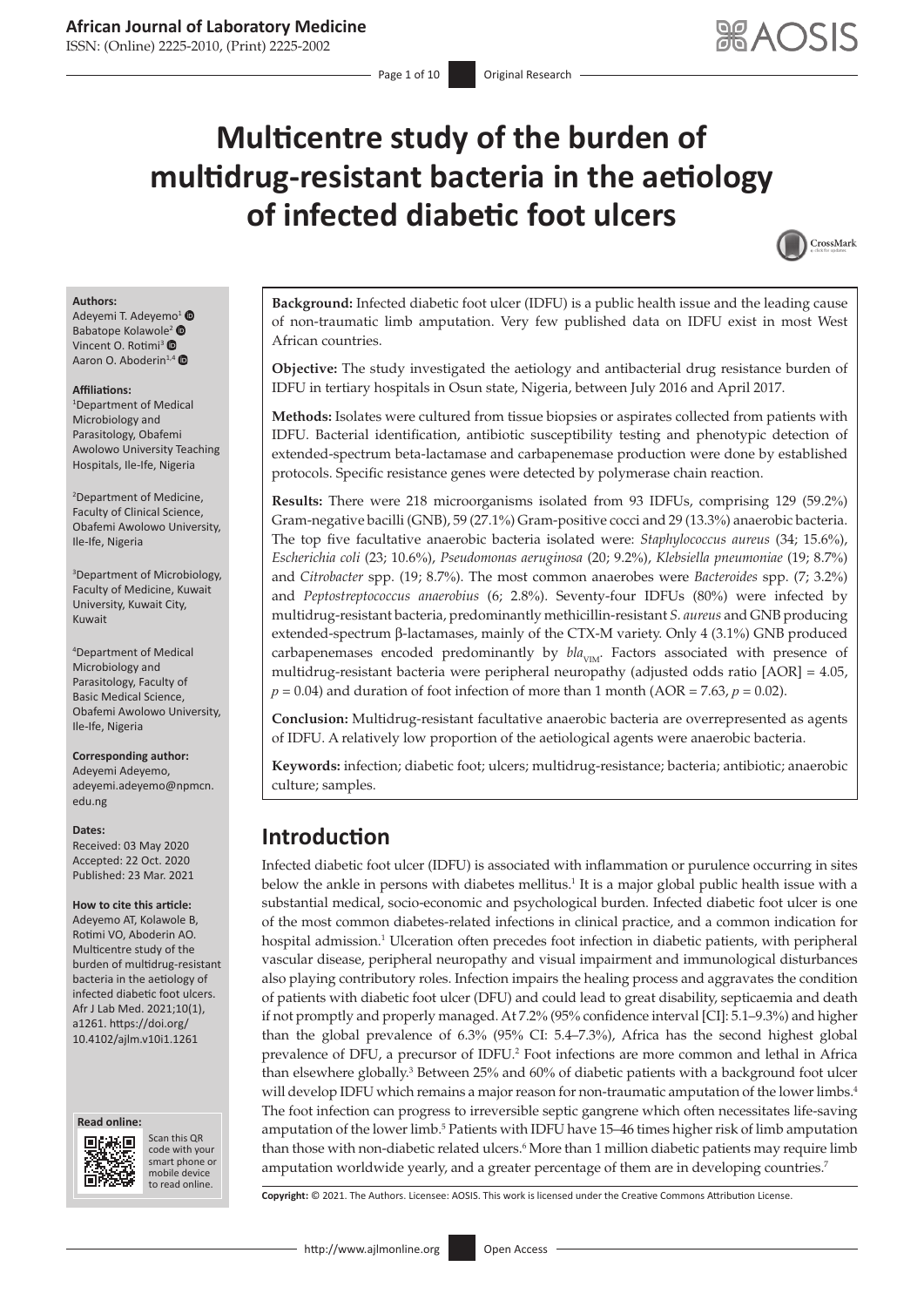ISSN: (Online) 2225-2010, (Print) 2225-2002

# **Multicentre study of the burden of multidrug-resistant bacteria in the aetiology of infected diabetic foot ulcers**



#### **Authors:**

Adeyemi T. Adeyemo<sup>[1](https://orcid.org/0000-0003-3544-2530)</sup> Babatop[e](https://orcid.org/0000-0003-2195-4789) Kolawole<sup>[2](https://orcid.org/0000-0002-8242-3968)</sup> <sup>®</sup> Vincent O. Rotimi<sup>3</sup> ® Aaron O. Aboderin<sup>1,[4](https://orcid.org/0000-0002-4280-2218)</sup>

#### **Affiliations:**

1 Department of Medical Microbiology and Parasitology, Obafemi Awolowo University Teaching Hospitals, Ile-Ife, Nigeria

2 Department of Medicine, Faculty of Clinical Science, Obafemi Awolowo University, Ile-Ife, Nigeria

3 Department of Microbiology, Faculty of Medicine, Kuwait University, Kuwait City, Kuwait

4 Department of Medical Microbiology and Parasitology, Faculty of Basic Medical Science, Obafemi Awolowo University, Ile-Ife, Nigeria

#### **Corresponding author:** Adeyemi Adeyemo,

[adeyemi.adeyemo@npmcn.](mailto:adeyemi.adeyemo@npmcn.edu.ng) [edu.ng](mailto:adeyemi.adeyemo@npmcn.edu.ng)

#### **Dates:**

Received: 03 May 2020 Accepted: 22 Oct. 2020 Published: 23 Mar. 2021

#### **How to cite this article:**

Adeyemo AT, Kolawole B, Rotimi VO, Aboderin AO. Multicentre study of the burden of multidrug-resistant bacteria in the aetiology of infected diabetic foot ulcers. Afr J Lab Med. 2021;10(1), a1261. [https://doi.org/](https://doi.org/10.4102/ajlm.v10i1.1261) [10.4102/ajlm.v10i1.1261](https://doi.org/10.4102/ajlm.v10i1.1261)





<span id="page-0-1"></span>Scan this QR code with your Scan this QR<br>code with your<br>smart phone or<br>mobile device mobile device to read online. to read online.

**Background:** Infected diabetic foot ulcer (IDFU) is a public health issue and the leading cause of non-traumatic limb amputation. Very few published data on IDFU exist in most West African countries.

**Objective:** The study investigated the aetiology and antibacterial drug resistance burden of IDFU in tertiary hospitals in Osun state, Nigeria, between July 2016 and April 2017.

**Methods:** Isolates were cultured from tissue biopsies or aspirates collected from patients with IDFU. Bacterial identification, antibiotic susceptibility testing and phenotypic detection of extended-spectrum beta-lactamase and carbapenemase production were done by established protocols. Specific resistance genes were detected by polymerase chain reaction.

**Results:** There were 218 microorganisms isolated from 93 IDFUs, comprising 129 (59.2%) Gram-negative bacilli (GNB), 59 (27.1%) Gram-positive cocci and 29 (13.3%) anaerobic bacteria. The top five facultative anaerobic bacteria isolated were: *Staphylococcus aureus* (34; 15.6%), *Escherichia coli* (23; 10.6%), *Pseudomonas aeruginosa* (20; 9.2%), *Klebsiella pneumoniae* (19; 8.7%) and *Citrobacter* spp. (19; 8.7%). The most common anaerobes were *Bacteroides* spp. (7; 3.2%) and *Peptostreptococcus anaerobius* (6; 2.8%). Seventy-four IDFUs (80%) were infected by multidrug-resistant bacteria, predominantly methicillin-resistant *S. aureus* and GNB producing extended-spectrum β-lactamases, mainly of the CTX-M variety. Only 4 (3.1%) GNB produced carbapenemases encoded predominantly by  $bla_{VIM}$ . Factors associated with presence of multidrug-resistant bacteria were peripheral neuropathy (adjusted odds ratio [AOR] = 4.05,  $p = 0.04$ ) and duration of foot infection of more than 1 month (AOR = 7.63,  $p = 0.02$ ).

**Conclusion:** Multidrug-resistant facultative anaerobic bacteria are overrepresented as agents of IDFU. A relatively low proportion of the aetiological agents were anaerobic bacteria.

**Keywords:** infection; diabetic foot; ulcers; multidrug-resistance; bacteria; antibiotic; anaerobic culture; samples.

# **Introduction**

<span id="page-0-0"></span>Infected diabetic foot ulcer (IDFU) is associated with inflammation or purulence occurring in sites below the ankle in persons with diabetes mellitus.<sup>1</sup> It is a major global public health issue with a substantial medical, socio-economic and psychological burden. Infected diabetic foot ulcer is one of the most common diabetes-related infections in clinical practice, and a common indication for hospital admission.<sup>[1](#page-8-0)</sup> Ulceration often precedes foot infection in diabetic patients, with peripheral vascular disease, peripheral neuropathy and visual impairment and immunological disturbances also playing contributory roles. Infection impairs the healing process and aggravates the condition of patients with diabetic foot ulcer (DFU) and could lead to great disability, septicaemia and death if not promptly and properly managed. At 7.2% (95% confidence interval [CI]: 5.1–9.3%) and higher than the global prevalence of 6.3% (95% CI: 5.4–7.3%), Africa has the second highest global prevalence of DFU, a precursor of IDFU.<sup>2</sup> Foot infections are more common and lethal in Africa than elsewhere globally.<sup>[3](#page-8-2)</sup> Between 25% and 60% of diabetic patients with a background foot ulcer will develop IDFU which remains a major reason for non-traumatic amputation of the lower limbs.<sup>4</sup> The foot infection can progress to irreversible septic gangrene which often necessitates life-saving amputation of the lower limb.<sup>[5](#page-8-4)</sup> Patients with IDFU have 15–46 times higher risk of limb amputation than those with non-diabetic related ulcers.<sup>[6](#page-8-5)</sup> More than 1 million diabetic patients may require limb amputation worldwide yearly, and a greater percentage of them are in developing countries[.7](#page-8-6)

<span id="page-0-6"></span><span id="page-0-5"></span><span id="page-0-4"></span><span id="page-0-3"></span><span id="page-0-2"></span>**Copyright:** © 2021. The Authors. Licensee: AOSIS. This work is licensed under the Creative Commons Attribution License.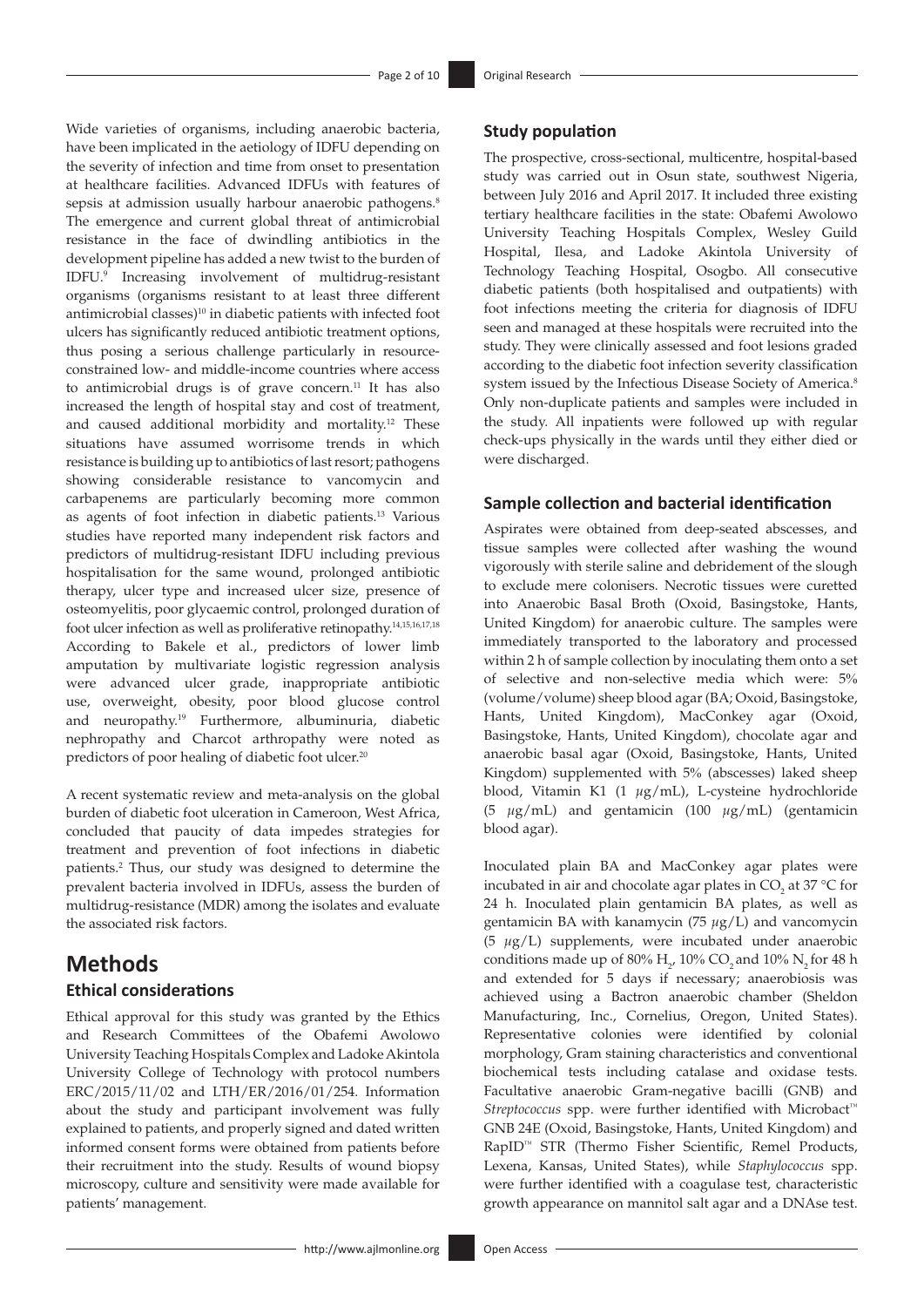<span id="page-1-4"></span><span id="page-1-3"></span><span id="page-1-2"></span><span id="page-1-1"></span><span id="page-1-0"></span>Wide varieties of organisms, including anaerobic bacteria, have been implicated in the aetiology of IDFU depending on the severity of infection and time from onset to presentation at healthcare facilities. Advanced IDFUs with features of sepsis at admission usually harbour anaerobic pathogens.<sup>[8](#page-8-7)</sup> The emergence and current global threat of antimicrobial resistance in the face of dwindling antibiotics in the development pipeline has added a new twist to the burden of IDFU.[9](#page-8-8) Increasing involvement of multidrug-resistant organisms (organisms resistant to at least three different antimicrobial classes)<sup>10</sup> in diabetic patients with infected foot ulcers has significantly reduced antibiotic treatment options, thus posing a serious challenge particularly in resourceconstrained low- and middle-income countries where access to antimicrobial drugs is of grave concern.<sup>11</sup> It has also increased the length of hospital stay and cost of treatment, and caused additional morbidity and mortality[.12](#page-8-11) These situations have assumed worrisome trends in which resistance is building up to antibiotics of last resort; pathogens showing considerable resistance to vancomycin and carbapenems are particularly becoming more common as agents of foot infection in diabetic patients.[13](#page-8-12) Various studies have reported many independent risk factors and predictors of multidrug-resistant IDFU including previous hospitalisation for the same wound, prolonged antibiotic therapy, ulcer type and increased ulcer size, presence of osteomyelitis, poor glycaemic control, prolonged duration of foot ulcer infection as well as proliferative retinopathy.[14](#page-8-13)[,15](#page-8-14),[16,](#page-8-15)[17](#page-8-16)[,18](#page-8-17) According to Bakele et al., predictors of lower limb amputation by multivariate logistic regression analysis were advanced ulcer grade, inappropriate antibiotic use, overweight, obesity, poor blood glucose control and neuropathy.[19](#page-8-18) Furthermore, albuminuria, diabetic nephropathy and Charcot arthropathy were noted as predictors of poor healing of diabetic foot ulcer.[20](#page-8-19)

<span id="page-1-9"></span><span id="page-1-8"></span><span id="page-1-6"></span><span id="page-1-5"></span>A recent systematic review and meta-analysis on the global burden of diabetic foot ulceration in Cameroon, West Africa, concluded that paucity of data impedes strategies for treatment and prevention of foot infections in diabetic patients.[2](#page-8-1) Thus, our study was designed to determine the prevalent bacteria involved in IDFUs, assess the burden of multidrug-resistance (MDR) among the isolates and evaluate the associated risk factors.

# **Methods Ethical considerations**

Ethical approval for this study was granted by the Ethics and Research Committees of the Obafemi Awolowo University Teaching Hospitals Complex and Ladoke Akintola University College of Technology with protocol numbers ERC/2015/11/02 and LTH/ER/2016/01/254. Information about the study and participant involvement was fully explained to patients, and properly signed and dated written informed consent forms were obtained from patients before their recruitment into the study. Results of wound biopsy microscopy, culture and sensitivity were made available for patients' management.

#### **Study population**

The prospective, cross-sectional, multicentre, hospital-based study was carried out in Osun state, southwest Nigeria, between July 2016 and April 2017. It included three existing tertiary healthcare facilities in the state: Obafemi Awolowo University Teaching Hospitals Complex, Wesley Guild Hospital, Ilesa, and Ladoke Akintola University of Technology Teaching Hospital, Osogbo. All consecutive diabetic patients (both hospitalised and outpatients) with foot infections meeting the criteria for diagnosis of IDFU seen and managed at these hospitals were recruited into the study. They were clinically assessed and foot lesions graded according to the diabetic foot infection severity classification system issued by the Infectious Disease Society of America[.8](#page-8-7) Only non-duplicate patients and samples were included in the study. All inpatients were followed up with regular check-ups physically in the wards until they either died or were discharged.

## **Sample collection and bacterial identification**

<span id="page-1-7"></span>Aspirates were obtained from deep-seated abscesses, and tissue samples were collected after washing the wound vigorously with sterile saline and debridement of the slough to exclude mere colonisers. Necrotic tissues were curetted into Anaerobic Basal Broth (Oxoid, Basingstoke, Hants, United Kingdom) for anaerobic culture. The samples were immediately transported to the laboratory and processed within 2 h of sample collection by inoculating them onto a set of selective and non-selective media which were: 5% (volume/volume) sheep blood agar (BA; Oxoid, Basingstoke, Hants, United Kingdom), MacConkey agar (Oxoid, Basingstoke, Hants, United Kingdom), chocolate agar and anaerobic basal agar (Oxoid, Basingstoke, Hants, United Kingdom) supplemented with 5% (abscesses) laked sheep blood, Vitamin K1 (1 *µ*g/mL), L-cysteine hydrochloride (5 *µ*g/mL) and gentamicin (100 *µ*g/mL) (gentamicin blood agar).

Inoculated plain BA and MacConkey agar plates were incubated in air and chocolate agar plates in  $CO_2$  at 37 °C for 24 h. Inoculated plain gentamicin BA plates, as well as gentamicin BA with kanamycin (75 *µ*g/L) and vancomycin (5 *µ*g/L) supplements, were incubated under anaerobic conditions made up of 80%  $H_2$ , 10% CO<sub>2</sub> and 10% N<sub>2</sub> for 48 h and extended for 5 days if necessary; anaerobiosis was achieved using a Bactron anaerobic chamber (Sheldon Manufacturing, Inc., Cornelius, Oregon, United States). Representative colonies were identified by colonial morphology, Gram staining characteristics and conventional biochemical tests including catalase and oxidase tests. Facultative anaerobic Gram-negative bacilli (GNB) and *Streptococcus* spp. were further identified with Microbact™ GNB 24E (Oxoid, Basingstoke, Hants, United Kingdom) and RapID™ STR (Thermo Fisher Scientific, Remel Products, Lexena, Kansas, United States), while *Staphylococcus* spp. were further identified with a coagulase test, characteristic growth appearance on mannitol salt agar and a DNAse test.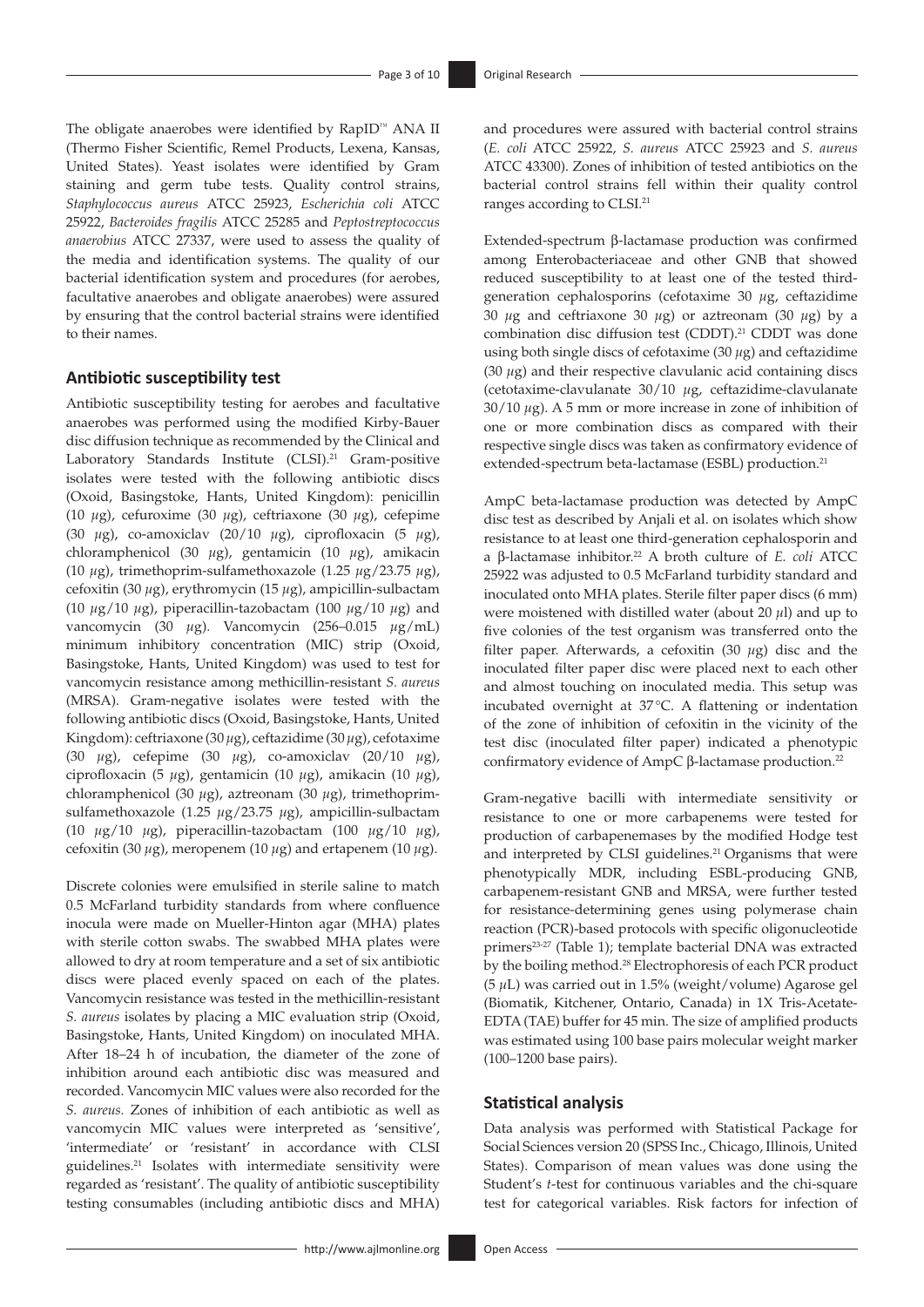The obligate anaerobes were identified by RapID™ ANA II (Thermo Fisher Scientific, Remel Products, Lexena, Kansas, United States). Yeast isolates were identified by Gram staining and germ tube tests. Quality control strains, *Staphylococcus aureus* ATCC 25923, *Escherichia coli* ATCC 25922, *Bacteroides fragilis* ATCC 25285 and *Peptostreptococcus anaerobius* ATCC 27337, were used to assess the quality of the media and identification systems. The quality of our bacterial identification system and procedures (for aerobes, facultative anaerobes and obligate anaerobes) were assured by ensuring that the control bacterial strains were identified to their names.

## **Antibiotic susceptibility test**

<span id="page-2-0"></span>Antibiotic susceptibility testing for aerobes and facultative anaerobes was performed using the modified Kirby-Bauer disc diffusion technique as recommended by the Clinical and Laboratory Standards Institute (CLSI).<sup>21</sup> Gram-positive isolates were tested with the following antibiotic discs (Oxoid, Basingstoke, Hants, United Kingdom): penicillin (10 *µ*g), cefuroxime (30 *µ*g), ceftriaxone (30 *µ*g), cefepime (30 *µ*g), co-amoxiclav (20/10 *µ*g), ciprofloxacin (5 *µ*g), chloramphenicol (30 *µ*g), gentamicin (10 *µ*g), amikacin (10 *µ*g), trimethoprim-sulfamethoxazole (1.25 *µ*g/23.75 *µ*g), cefoxitin (30 *µ*g), erythromycin (15 *µ*g), ampicillin-sulbactam (10 *µ*g/10 *µ*g), piperacillin-tazobactam (100 *µ*g/10 *µ*g) and vancomycin (30 *µ*g). Vancomycin (256–0.015 *µ*g/mL) minimum inhibitory concentration (MIC) strip (Oxoid, Basingstoke, Hants, United Kingdom) was used to test for vancomycin resistance among methicillin-resistant *S. aureus*  (MRSA). Gram-negative isolates were tested with the following antibiotic discs (Oxoid, Basingstoke, Hants, United Kingdom): ceftriaxone (30 *µ*g), ceftazidime (30 *µ*g), cefotaxime (30 *µ*g), cefepime (30 *µ*g), co-amoxiclav (20/10 *µ*g), ciprofloxacin (5 *µ*g), gentamicin (10 *µ*g), amikacin (10 *µ*g), chloramphenicol (30 *µ*g), aztreonam (30 *µ*g), trimethoprimsulfamethoxazole (1.25 *µ*g/23.75 *µ*g), ampicillin-sulbactam (10 *µ*g/10 *µ*g), piperacillin-tazobactam (100 *µ*g/10 *µ*g), cefoxitin (30 *µ*g), meropenem (10 *µ*g) and ertapenem (10 *µ*g).

Discrete colonies were emulsified in sterile saline to match 0.5 McFarland turbidity standards from where confluence inocula were made on Mueller-Hinton agar (MHA) plates with sterile cotton swabs. The swabbed MHA plates were allowed to dry at room temperature and a set of six antibiotic discs were placed evenly spaced on each of the plates. Vancomycin resistance was tested in the methicillin-resistant *S. aureus* isolates by placing a MIC evaluation strip (Oxoid, Basingstoke, Hants, United Kingdom) on inoculated MHA. After 18–24 h of incubation, the diameter of the zone of inhibition around each antibiotic disc was measured and recorded. Vancomycin MIC values were also recorded for the *S. aureus.* Zones of inhibition of each antibiotic as well as vancomycin MIC values were interpreted as 'sensitive', 'intermediate' or 'resistant' in accordance with CLSI guidelines[.21](#page-8-20) Isolates with intermediate sensitivity were regarded as 'resistant'. The quality of antibiotic susceptibility testing consumables (including antibiotic discs and MHA)

and procedures were assured with bacterial control strains (*E. coli* ATCC 25922, *S. aureus* ATCC 25923 and *S. aureus*  ATCC 43300). Zones of inhibition of tested antibiotics on the bacterial control strains fell within their quality control ranges according to CLSI.[21](#page-8-20)

Extended-spectrum β-lactamase production was confirmed among Enterobacteriaceae and other GNB that showed reduced susceptibility to at least one of the tested thirdgeneration cephalosporins (cefotaxime 30 *µ*g, ceftazidime 30  $\mu$ g and ceftriaxone 30  $\mu$ g) or aztreonam (30  $\mu$ g) by a combination disc diffusion test (CDDT).<sup>21</sup> CDDT was done using both single discs of cefotaxime (30 *µ*g) and ceftazidime (30 *µ*g) and their respective clavulanic acid containing discs (cetotaxime-clavulanate 30/10 *µ*g, ceftazidime-clavulanate 30/10 *µ*g). A 5 mm or more increase in zone of inhibition of one or more combination discs as compared with their respective single discs was taken as confirmatory evidence of extended-spectrum beta-lactamase (ESBL) production.<sup>21</sup>

<span id="page-2-1"></span>AmpC beta-lactamase production was detected by AmpC disc test as described by Anjali et al. on isolates which show resistance to at least one third-generation cephalosporin and a β-lactamase inhibitor[.22](#page-8-21) A broth culture of *E. coli* ATCC 25922 was adjusted to 0.5 McFarland turbidity standard and inoculated onto MHA plates. Sterile filter paper discs (6 mm) were moistened with distilled water (about 20 *µ*l) and up to five colonies of the test organism was transferred onto the filter paper. Afterwards, a cefoxitin (30 *µ*g) disc and the inoculated filter paper disc were placed next to each other and almost touching on inoculated media. This setup was incubated overnight at 37°C. A flattening or indentation of the zone of inhibition of cefoxitin in the vicinity of the test disc (inoculated filter paper) indicated a phenotypic confirmatory evidence of AmpC β-lactamase production[.22](#page-8-21)

<span id="page-2-3"></span><span id="page-2-2"></span>Gram-negative bacilli with intermediate sensitivity or resistance to one or more carbapenems were tested for production of carbapenemases by the modified Hodge test and interpreted by CLSI guidelines.<sup>[21](#page-8-20)</sup> Organisms that were phenotypically MDR, including ESBL-producing GNB, carbapenem-resistant GNB and MRSA, were further tested for resistance-determining genes using polymerase chain reaction (PCR)-based protocols with specific oligonucleotide primers<sup>23[-27](#page-8-23)</sup> (Table 1); template bacterial DNA was extracted by the boiling method[.28](#page-8-24) Electrophoresis of each PCR product (5 *µ*L) was carried out in 1.5% (weight/volume) Agarose gel (Biomatik, Kitchener, Ontario, Canada) in 1X Tris-Acetate-EDTA (TAE) buffer for 45 min. The size of amplified products was estimated using 100 base pairs molecular weight marker (100–1200 base pairs).

#### <span id="page-2-4"></span>**Statistical analysis**

Data analysis was performed with Statistical Package for Social Sciences version 20 (SPSS Inc., Chicago, Illinois, United States). Comparison of mean values was done using the Student's *t*-test for continuous variables and the chi-square test for categorical variables. Risk factors for infection of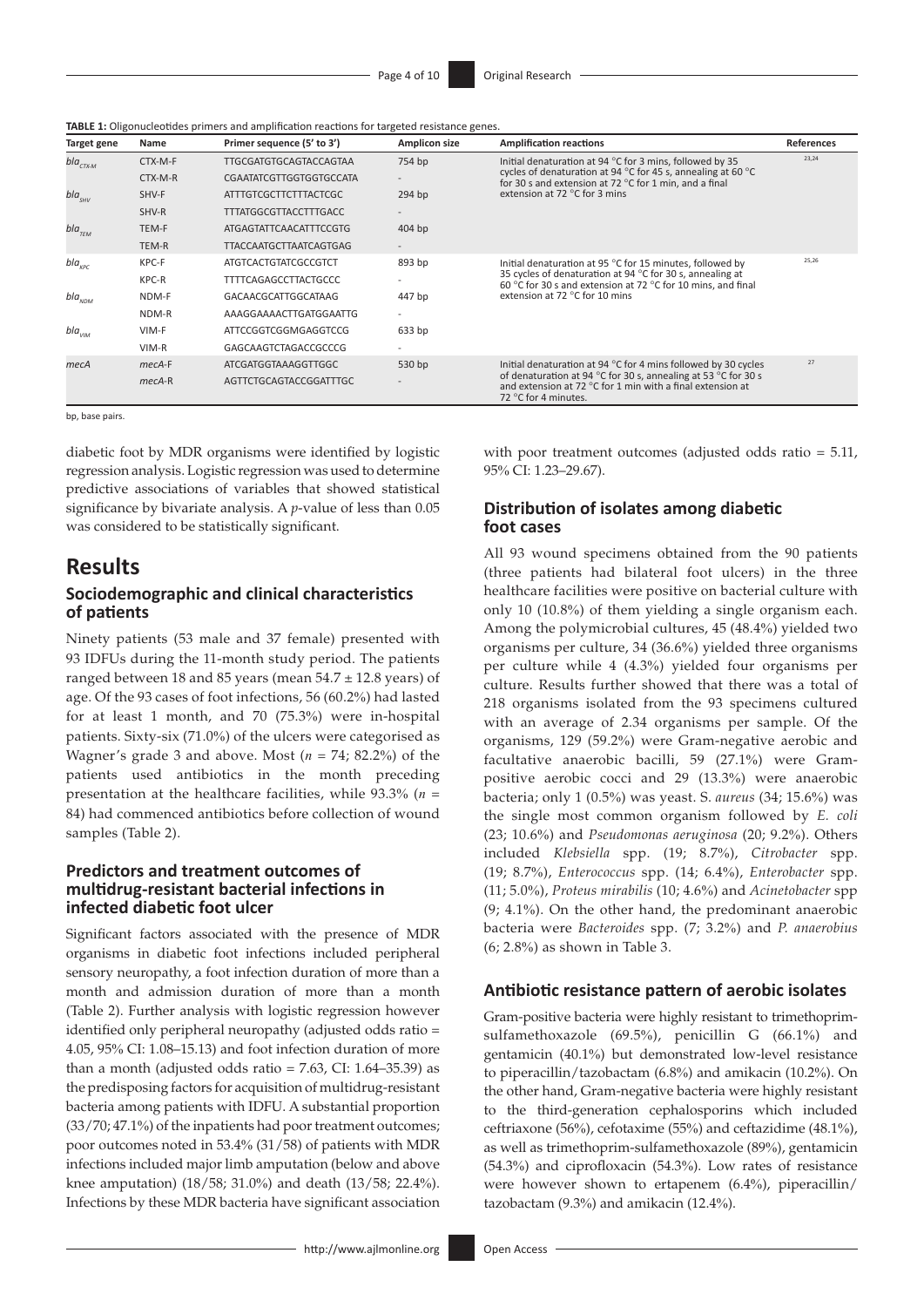| TABLE 1: Oligonucleotides primers and amplification reactions for targeted resistance genes. |  |  |
|----------------------------------------------------------------------------------------------|--|--|
|----------------------------------------------------------------------------------------------|--|--|

| Target gene                              | <b>Name</b> | Primer sequence (5' to 3')    | <b>Amplicon size</b> | <b>Amplification reactions</b>                                                                                                                                           | <b>References</b> |
|------------------------------------------|-------------|-------------------------------|----------------------|--------------------------------------------------------------------------------------------------------------------------------------------------------------------------|-------------------|
| bla $_{\scriptscriptstyle CTX\text{-}M}$ | CTX-M-F     | <b>TTGCGATGTGCAGTACCAGTAA</b> | 754 bp               | Initial denaturation at 94 $^{\circ}$ C for 3 mins, followed by 35                                                                                                       | 23,24             |
|                                          | CTX-M-R     | CGAATATCGTTGGTGGTGCCATA       |                      | cycles of denaturation at 94 $^{\circ}$ C for 45 s, annealing at 60 $^{\circ}$ C<br>for 30 s and extension at 72 $^{\circ}$ C for 1 min. and a final                     |                   |
| $bla_{_{SHV}}$                           | SHV-F       | ATTTGTCGCTTCTTTACTCGC         | 294 bp               | extension at 72 $\degree$ C for 3 mins                                                                                                                                   |                   |
|                                          | SHV-R       | <b>TTTATGGCGTTACCTTTGACC</b>  |                      |                                                                                                                                                                          |                   |
| bla $_{\tau_{FM}}$                       | TEM-F       | ATGAGTATTCAACATTTCCGTG        | 404 bp               |                                                                                                                                                                          |                   |
|                                          | TEM-R       | <b>TTACCAATGCTTAATCAGTGAG</b> |                      |                                                                                                                                                                          |                   |
| $bla_{\kappa pc}$                        | KPC-F       | <b>ATGTCACTGTATCGCCGTCT</b>   | 893 bp               | Initial denaturation at 95 $^{\circ}$ C for 15 minutes, followed by                                                                                                      | 25,26             |
|                                          | KPC-R       | <b>TTTTCAGAGCCTTACTGCCC</b>   |                      | 35 cycles of denaturation at 94 $^{\circ}$ C for 30 s, annealing at<br>60 °C for 30 s and extension at 72 °C for 10 mins, and final                                      |                   |
| $bla_{NDM}$                              | NDM-F       | GACAACGCATTGGCATAAG           | 447 bp               | extension at 72 °C for 10 mins                                                                                                                                           |                   |
|                                          | NDM-R       | AAAGGAAAACTTGATGGAATTG        |                      |                                                                                                                                                                          |                   |
| $bla$ <sub>VIM</sub>                     | VIM-F       | ATTCCGGTCGGMGAGGTCCG          | 633 bp               |                                                                                                                                                                          |                   |
|                                          | $VIM-R$     | GAGCAAGTCTAGACCGCCCG          |                      |                                                                                                                                                                          |                   |
| mecA                                     | $mecA-F$    | ATCGATGGTAAAGGTTGGC           | 530 bp               | Initial denaturation at 94 $^{\circ}$ C for 4 mins followed by 30 cycles                                                                                                 | 27                |
|                                          | $mecA-R$    | AGTTCTGCAGTACCGGATTTGC        |                      | of denaturation at 94 $^{\circ}$ C for 30 s, annealing at 53 $^{\circ}$ C for 30 s<br>and extension at 72 °C for 1 min with a final extension at<br>72 °C for 4 minutes. |                   |

bp, base pairs.

diabetic foot by MDR organisms were identified by logistic regression analysis. Logistic regression was used to determine predictive associations of variables that showed statistical significance by bivariate analysis. A *p*-value of less than 0.05 was considered to be statistically significant.

## **Results**

## **Sociodemographic and clinical characteristics of patients**

Ninety patients (53 male and 37 female) presented with 93 IDFUs during the 11-month study period. The patients ranged between 18 and 85 years (mean  $54.7 \pm 12.8$  years) of age. Of the 93 cases of foot infections, 56 (60.2%) had lasted for at least 1 month, and 70 (75.3%) were in-hospital patients. Sixty-six (71.0%) of the ulcers were categorised as Wagner's grade 3 and above. Most (*n* = 74; 82.2%) of the patients used antibiotics in the month preceding presentation at the healthcare facilities, while 93.3% (*n* = 84) had commenced antibiotics before collection of wound samples (Table 2).

### **Predictors and treatment outcomes of multidrug-resistant bacterial infections in infected diabetic foot ulcer**

Significant factors associated with the presence of MDR organisms in diabetic foot infections included peripheral sensory neuropathy, a foot infection duration of more than a month and admission duration of more than a month (Table 2). Further analysis with logistic regression however identified only peripheral neuropathy (adjusted odds ratio = 4.05, 95% CI: 1.08–15.13) and foot infection duration of more than a month (adjusted odds ratio =  $7.63$ , CI:  $1.64-35.39$ ) as the predisposing factors for acquisition of multidrug-resistant bacteria among patients with IDFU. A substantial proportion (33/70; 47.1%) of the inpatients had poor treatment outcomes; poor outcomes noted in 53.4% (31/58) of patients with MDR infections included major limb amputation (below and above knee amputation) (18/58; 31.0%) and death (13/58; 22.4%). Infections by these MDR bacteria have significant association <span id="page-3-1"></span><span id="page-3-0"></span>with poor treatment outcomes (adjusted odds ratio = 5.11, 95% CI: 1.23–29.67).

#### **Distribution of isolates among diabetic foot cases**

All 93 wound specimens obtained from the 90 patients (three patients had bilateral foot ulcers) in the three healthcare facilities were positive on bacterial culture with only 10 (10.8%) of them yielding a single organism each. Among the polymicrobial cultures, 45 (48.4%) yielded two organisms per culture, 34 (36.6%) yielded three organisms per culture while 4 (4.3%) yielded four organisms per culture. Results further showed that there was a total of 218 organisms isolated from the 93 specimens cultured with an average of 2.34 organisms per sample. Of the organisms, 129 (59.2%) were Gram-negative aerobic and facultative anaerobic bacilli, 59 (27.1%) were Grampositive aerobic cocci and 29 (13.3%) were anaerobic bacteria; only 1 (0.5%) was yeast. S. *aureus* (34; 15.6%) was the single most common organism followed by *E. coli* (23; 10.6%) and *Pseudomonas aeruginosa* (20; 9.2%). Others included *Klebsiella* spp. (19; 8.7%), *Citrobacter* spp. (19; 8.7%), *Enterococcus* spp. (14; 6.4%), *Enterobacter* spp. (11; 5.0%), *Proteus mirabilis* (10; 4.6%) and *Acinetobacter* spp (9; 4.1%). On the other hand, the predominant anaerobic bacteria were *Bacteroides* spp. (7; 3.2%) and *P. anaerobius*  (6; 2.8%) as shown in Table 3.

#### **Antibiotic resistance pattern of aerobic isolates**

Gram-positive bacteria were highly resistant to trimethoprimsulfamethoxazole (69.5%), penicillin G (66.1%) and gentamicin (40.1%) but demonstrated low-level resistance to piperacillin/tazobactam (6.8%) and amikacin (10.2%). On the other hand, Gram-negative bacteria were highly resistant to the third-generation cephalosporins which included ceftriaxone (56%), cefotaxime (55%) and ceftazidime (48.1%), as well as trimethoprim-sulfamethoxazole (89%), gentamicin (54.3%) and ciprofloxacin (54.3%). Low rates of resistance were however shown to ertapenem (6.4%), piperacillin/ tazobactam (9.3%) and amikacin (12.4%).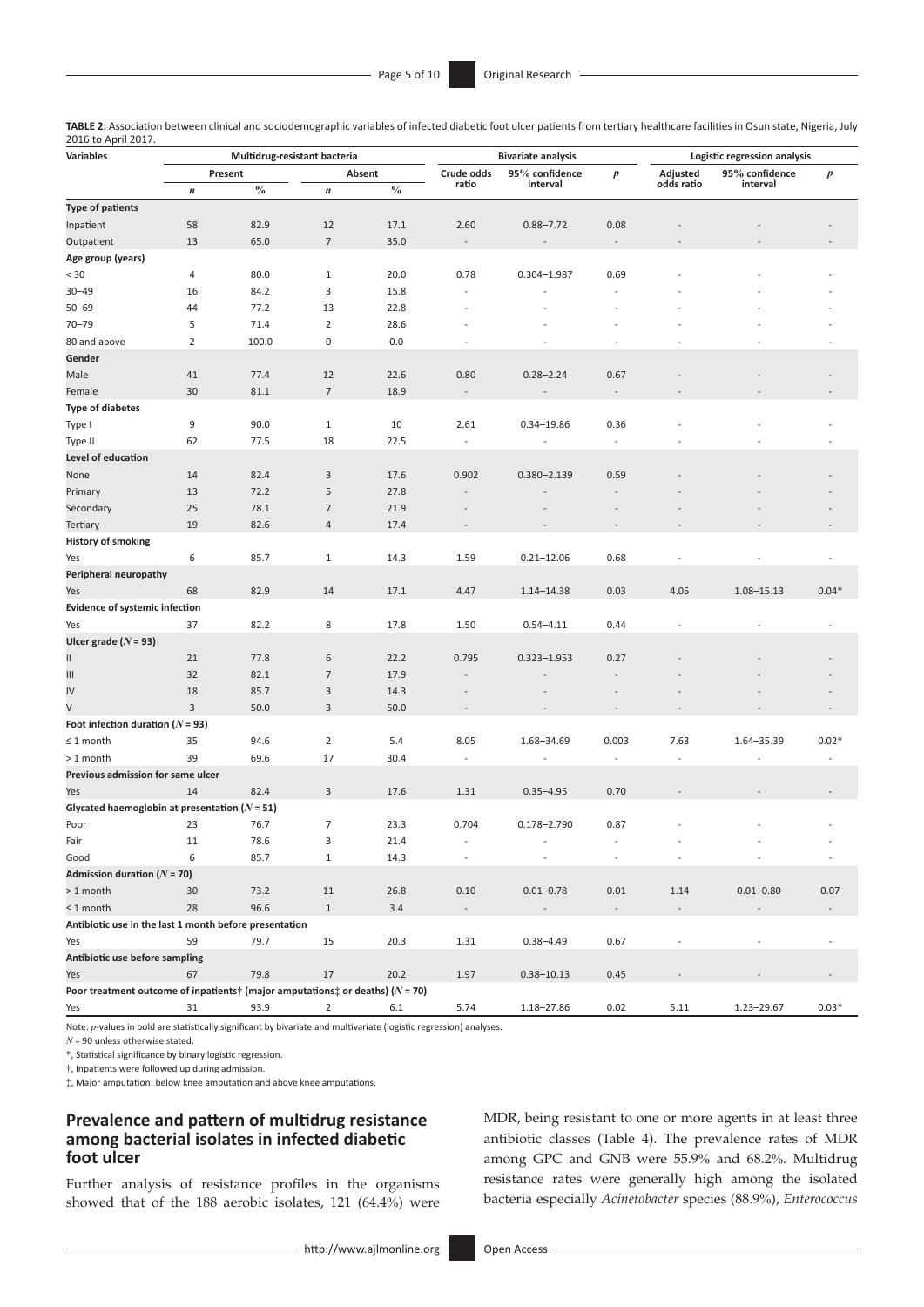| ZUIU tU APHI ZUIT.<br>Variables                                                             | Multidrug-resistant bacteria |                   |                  |               |                          | <b>Bivariate analysis</b> |                          | Logistic regression analysis |                            |         |  |
|---------------------------------------------------------------------------------------------|------------------------------|-------------------|------------------|---------------|--------------------------|---------------------------|--------------------------|------------------------------|----------------------------|---------|--|
|                                                                                             |                              | Absent<br>Present |                  |               | Crude odds               | 95% confidence            | $\boldsymbol{p}$         | Adjusted                     | $\boldsymbol{p}$           |         |  |
|                                                                                             | $\boldsymbol{n}$             | $\frac{0}{0}$     | $\boldsymbol{n}$ | $\frac{0}{0}$ | ratio                    | interval                  |                          | odds ratio                   | 95% confidence<br>interval |         |  |
| <b>Type of patients</b>                                                                     |                              |                   |                  |               |                          |                           |                          |                              |                            |         |  |
| Inpatient                                                                                   | 58                           | 82.9              | 12               | 17.1          | 2.60                     | $0.88 - 7.72$             | 0.08                     |                              |                            |         |  |
| Outpatient                                                                                  | 13                           | 65.0              | $\overline{7}$   | 35.0          |                          |                           |                          |                              |                            |         |  |
| Age group (years)                                                                           |                              |                   |                  |               |                          |                           |                          |                              |                            |         |  |
| < 30                                                                                        | 4                            | 80.0              | $\mathbf{1}$     | 20.0          | 0.78                     | 0.304-1.987               | 0.69                     |                              |                            |         |  |
| $30 - 49$                                                                                   | 16                           | 84.2              | 3                | 15.8          |                          |                           |                          |                              |                            |         |  |
| $50 - 69$                                                                                   | 44                           | 77.2              | 13               | 22.8          |                          |                           |                          |                              |                            |         |  |
| $70 - 79$                                                                                   | 5                            | 71.4              | 2                | 28.6          |                          |                           |                          |                              |                            |         |  |
| 80 and above                                                                                | 2                            | 100.0             | $\mathbf 0$      | 0.0           |                          |                           |                          |                              |                            |         |  |
| Gender                                                                                      |                              |                   |                  |               |                          |                           |                          |                              |                            |         |  |
| Male                                                                                        | 41                           | 77.4              | 12               | 22.6          | 0.80                     | $0.28 - 2.24$             | 0.67                     |                              |                            |         |  |
| Female                                                                                      | 30                           | 81.1              | $\overline{7}$   | 18.9          |                          |                           |                          |                              |                            |         |  |
| <b>Type of diabetes</b>                                                                     |                              |                   |                  |               |                          |                           |                          |                              |                            |         |  |
|                                                                                             | 9                            | 90.0              | $\mathbf{1}$     | 10            | 2.61                     | $0.34 - 19.86$            | 0.36                     |                              |                            |         |  |
| Type I                                                                                      |                              |                   |                  |               | $\overline{\phantom{a}}$ |                           | $\overline{\phantom{a}}$ |                              |                            |         |  |
| Type II                                                                                     | 62                           | 77.5              | 18               | 22.5          |                          |                           |                          |                              |                            |         |  |
| Level of education                                                                          |                              |                   |                  |               |                          |                           |                          |                              |                            |         |  |
| None                                                                                        | 14                           | 82.4              | 3                | 17.6          | 0.902                    | 0.380-2.139               | 0.59                     |                              |                            |         |  |
| Primary                                                                                     | 13                           | 72.2              | 5                | 27.8          |                          |                           |                          |                              |                            |         |  |
| Secondary                                                                                   | 25                           | 78.1              | 7                | 21.9          |                          |                           |                          |                              |                            |         |  |
| Tertiary                                                                                    | 19                           | 82.6              | $\overline{a}$   | 17.4          |                          |                           |                          |                              |                            |         |  |
| <b>History of smoking</b>                                                                   |                              |                   |                  |               |                          |                           |                          |                              |                            |         |  |
| Yes                                                                                         | 6                            | 85.7              | $\mathbf{1}$     | 14.3          | 1.59                     | $0.21 - 12.06$            | 0.68                     |                              |                            |         |  |
| Peripheral neuropathy                                                                       |                              |                   |                  |               |                          |                           |                          |                              |                            |         |  |
| Yes                                                                                         | 68                           | 82.9              | 14               | 17.1          | 4.47                     | 1.14-14.38                | 0.03                     | 4.05                         | 1.08-15.13                 | $0.04*$ |  |
| <b>Evidence of systemic infection</b>                                                       |                              |                   |                  |               |                          |                           |                          |                              |                            |         |  |
| Yes                                                                                         | 37                           | 82.2              | 8                | 17.8          | 1.50                     | $0.54 - 4.11$             | 0.44                     |                              |                            |         |  |
| Ulcer grade $(N = 93)$                                                                      |                              |                   |                  |               |                          |                           |                          |                              |                            |         |  |
| Ш                                                                                           | 21                           | 77.8              | 6                | 22.2          | 0.795                    | 0.323-1.953               | 0.27                     |                              |                            |         |  |
| Ш                                                                                           | 32                           | 82.1              | $\overline{7}$   | 17.9          |                          |                           |                          |                              |                            |         |  |
| IV                                                                                          | 18                           | 85.7              | 3                | 14.3          |                          |                           |                          |                              |                            |         |  |
| V                                                                                           | 3                            | 50.0              | 3                | 50.0          |                          |                           |                          |                              |                            |         |  |
| Foot infection duration ( $N = 93$ )                                                        |                              |                   |                  |               |                          |                           |                          |                              |                            |         |  |
| $\leq 1$ month                                                                              | 35                           | 94.6              | $\overline{2}$   | 5.4           | 8.05                     | 1.68-34.69                | 0.003                    | 7.63                         | 1.64-35.39                 | $0.02*$ |  |
| > 1 month                                                                                   | 39                           | 69.6              | 17               | 30.4          | $\overline{\phantom{a}}$ |                           | $\overline{\phantom{a}}$ | ÷,                           |                            |         |  |
| Previous admission for same ulcer                                                           |                              |                   |                  |               |                          |                           |                          |                              |                            |         |  |
| Yes                                                                                         | 14                           | 82.4              | $\mathbf{3}$     | 17.6          | 1.31                     | $0.35 - 4.95$             | 0.70                     |                              |                            |         |  |
| Glycated haemoglobin at presentation ( $N$ = 51)                                            |                              |                   |                  |               |                          |                           |                          |                              |                            |         |  |
| Poor                                                                                        | 23                           | 76.7              | 7                | 23.3          | 0.704                    | 0.178-2.790               | 0.87                     |                              |                            |         |  |
| Fair                                                                                        | 11                           | 78.6              | 3                | 21.4          |                          |                           |                          |                              |                            |         |  |
| Good                                                                                        | 6                            | 85.7              | $\mathbf{1}$     | 14.3          |                          |                           |                          |                              |                            |         |  |
| Admission duration $(N = 70)$                                                               |                              |                   |                  |               |                          |                           |                          |                              |                            |         |  |
| >1 month                                                                                    | 30                           | 73.2              | 11               | 26.8          | 0.10                     | $0.01 - 0.78$             | 0.01                     | 1.14                         | $0.01 - 0.80$              | 0.07    |  |
| $\leq$ 1 month                                                                              | 28                           | 96.6              | $\mathbf{1}$     | 3.4           |                          |                           |                          |                              |                            |         |  |
| Antibiotic use in the last 1 month before presentation                                      |                              |                   |                  |               |                          |                           |                          |                              |                            |         |  |
| Yes                                                                                         | 59                           | 79.7              | 15               | 20.3          | 1.31                     | $0.38 - 4.49$             | 0.67                     |                              |                            |         |  |
| Antibiotic use before sampling                                                              |                              |                   |                  |               |                          |                           |                          |                              |                            |         |  |
| Yes                                                                                         | 67                           | 79.8              | 17               | 20.2          | 1.97                     | $0.38 - 10.13$            | 0.45                     |                              |                            |         |  |
| Poor treatment outcome of inpatients† (major amputations $\ddagger$ or deaths) ( $N = 70$ ) |                              |                   |                  |               |                          |                           |                          |                              |                            |         |  |
| Yes                                                                                         | 31                           | 93.9              | $\overline{2}$   | 6.1           | 5.74                     | 1.18-27.86                | 0.02                     | 5.11                         | 1.23-29.67                 | $0.03*$ |  |

**TABLE 2:** Association between clinical and sociodemographic variables of infected diabetic foot ulcer patients from tertiary healthcare facilities in Osun state, Nigeria, July 2016 to April 2017.

Note: *p*-values in bold are statistically significant by bivariate and multivariate (logistic regression) analyses.

*N* = 90 unless otherwise stated.

\*, Statistical significance by binary logistic regression.

†, Inpatients were followed up during admission.

‡, Major amputation: below knee amputation and above knee amputations.

### **Prevalence and pattern of multidrug resistance among bacterial isolates in infected diabetic foot ulcer**

Further analysis of resistance profiles in the organisms showed that of the 188 aerobic isolates, 121 (64.4%) were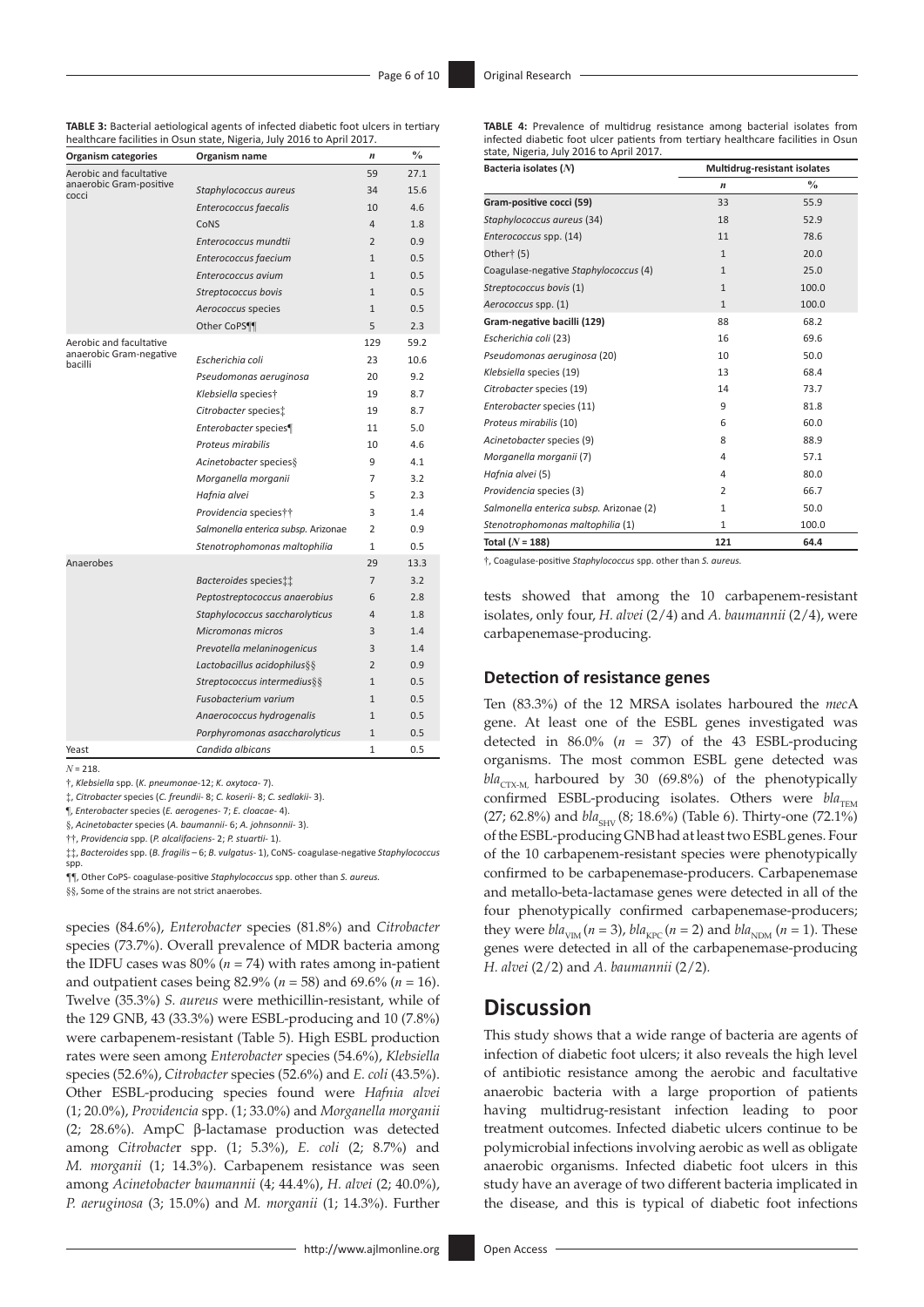|                                    | healthcare facilities in Osun state, Nigeria, July 2016 to April 2017. |                |               |
|------------------------------------|------------------------------------------------------------------------|----------------|---------------|
| <b>Organism categories</b>         | Organism name                                                          | n              | $\frac{0}{0}$ |
| Aerobic and facultative            |                                                                        | 59             | 27.1          |
| anaerobic Gram-positive<br>cocci   | Staphylococcus aureus                                                  | 34             | 15.6          |
|                                    | Enterococcus faecalis                                                  | 10             | 4.6           |
|                                    | CoNS                                                                   | $\overline{4}$ | 1.8           |
|                                    | Enterococcus mundtii                                                   | $\overline{2}$ | 0.9           |
|                                    | Enterococcus faecium                                                   | $\mathbf{1}$   | 0.5           |
|                                    | Enterococcus avium                                                     | $\mathbf{1}$   | 0.5           |
|                                    | Streptococcus bovis                                                    | $\mathbf{1}$   | 0.5           |
|                                    | Aerococcus species                                                     | $\mathbf{1}$   | 0.5           |
|                                    | Other CoPS                                                             | 5              | 2.3           |
| Aerobic and facultative            |                                                                        | 129            | 59.2          |
| anaerobic Gram-negative<br>bacilli | Escherichia coli                                                       | 23             | 10.6          |
|                                    | Pseudomonas aeruginosa                                                 | 20             | 9.2           |
|                                    | Klebsiella speciest                                                    | 19             | 8.7           |
|                                    | Citrobacter species:                                                   | 19             | 8.7           |
|                                    | Enterobacter species¶                                                  | 11             | 5.0           |
|                                    | Proteus mirabilis                                                      | 10             | 4.6           |
|                                    | Acinetobacter species §                                                | 9              | 4.1           |
|                                    | Morganella morganii                                                    | 7              | 3.2           |
|                                    | Hafnia alvei                                                           | 5              | 2.3           |
|                                    | Providencia species††                                                  | 3              | 1.4           |
|                                    | Salmonella enterica subsp. Arizonae                                    | $\overline{2}$ | 0.9           |
|                                    | Stenotrophomonas maltophilia                                           | $\mathbf{1}$   | 0.5           |
| Anaerobes                          |                                                                        | 29             | 13.3          |
|                                    | Bacteroides species:                                                   | $\overline{7}$ | 3.2           |
|                                    | Peptostreptococcus anaerobius                                          | 6              | 2.8           |
|                                    | Staphylococcus saccharolyticus                                         | $\overline{4}$ | 1.8           |
|                                    | Micromonas micros                                                      | 3              | 1.4           |
|                                    | Prevotella melaninogenicus                                             | 3              | 1.4           |
|                                    | Lactobacillus acidophilus§§                                            | $\overline{2}$ | 0.9           |
|                                    | Streptococcus intermedius§§                                            | $\mathbf{1}$   | 0.5           |
|                                    | Fusobacterium varium                                                   | $\mathbf{1}$   | 0.5           |
|                                    | Anaerococcus hydrogenalis                                              | $\mathbf{1}$   | 0.5           |
|                                    | Porphyromonas asaccharolyticus                                         | $\mathbf{1}$   | 0.5           |
| Yeast                              | Candida albicans                                                       | $\mathbf{1}$   | 0.5           |
|                                    |                                                                        |                |               |

**TABLE 3:** Bacterial aetiological agents of infected diabetic foot ulcers in tertiary

 $N - 218$ 

†, *Klebsiella* spp. (*K. pneumonae*-12; *K. oxytoca*- 7).

‡, *Citrobacter* species (*C. freundii*- 8; *C. koserii*- 8; *C. sedlakii*- 3).

¶, *Enterobacter* species (*E. aerogenes*- 7; *E. cloacae*- 4).

§, *Acinetobacter* species (*A. baumannii*- 6; *A. johnsonnii*- 3).

††, *Providencia* spp. (*P. alcalifaciens*- 2; *P. stuartii-* 1).

‡‡, *Bacteroides* spp. (*B. fragilis* – 6; *B. vulgatus*- 1), CoNS- coagulase-negative *Staphylococcus*  spp.

*¶¶*, Other CoPS- coagulase-positive *Staphylococcus* spp. other than *S. aureus.*

§§, Some of the strains are not strict anaerobes.

species (84.6%), *Enterobacter* species (81.8%) and *Citrobacter* species (73.7%). Overall prevalence of MDR bacteria among the IDFU cases was  $80\%$  ( $n = 74$ ) with rates among in-patient and outpatient cases being 82.9% (*n* = 58) and 69.6% (*n* = 16). Twelve (35.3%) *S. aureus* were methicillin-resistant, while of the 129 GNB, 43 (33.3%) were ESBL-producing and 10 (7.8%) were carbapenem-resistant (Table 5). High ESBL production rates were seen among *Enterobacter* species (54.6%), *Klebsiella* species (52.6%), *Citrobacter* species (52.6%) and *E. coli* (43.5%). Other ESBL-producing species found were *Hafnia alvei* (1; 20.0%), *Providencia* spp. (1; 33.0%) and *Morganella morganii* (2; 28.6%). AmpC β-lactamase production was detected among *Citrobacte*r spp. (1; 5.3%), *E. coli* (2; 8.7%) and *M. morganii* (1; 14.3%). Carbapenem resistance was seen among *Acinetobacter baumannii* (4; 44.4%), *H. alvei* (2; 40.0%), *P. aeruginosa* (3; 15.0%) and *M. morganii* (1; 14.3%). Further

| <b>TABLE 4:</b> Prevalence of multidrug resistance among bacterial isolates from  |  |  |  |
|-----------------------------------------------------------------------------------|--|--|--|
| infected diabetic foot ulcer patients from tertiary healthcare facilities in Osun |  |  |  |
| state, Nigeria, July 2016 to April 2017.                                          |  |  |  |

| Bacteria isolates (N)                   | Multidrug-resistant isolates |               |  |  |
|-----------------------------------------|------------------------------|---------------|--|--|
|                                         | $\boldsymbol{n}$             | $\frac{0}{0}$ |  |  |
| Gram-positive cocci (59)                | 33                           | 55.9          |  |  |
| Staphylococcus aureus (34)              | 18                           | 52.9          |  |  |
| Enterococcus spp. (14)                  | 11                           | 78.6          |  |  |
| Other† (5)                              | $\mathbf{1}$                 | 20.0          |  |  |
| Coagulase-negative Staphylococcus (4)   | $\mathbf{1}$                 | 25.0          |  |  |
| Streptococcus bovis (1)                 | $\mathbf{1}$                 | 100.0         |  |  |
| Aerococcus spp. (1)                     | $\mathbf{1}$                 | 100.0         |  |  |
| Gram-negative bacilli (129)             | 88                           | 68.2          |  |  |
| Escherichia coli (23)                   | 16                           | 69.6          |  |  |
| Pseudomonas aeruginosa (20)             | 10                           | 50.0          |  |  |
| Klebsiella species (19)                 | 13                           | 68.4          |  |  |
| Citrobacter species (19)                | 14                           | 73.7          |  |  |
| Enterobacter species (11)               | 9                            | 81.8          |  |  |
| Proteus mirabilis (10)                  | 6                            | 60.0          |  |  |
| Acinetobacter species (9)               | 8                            | 88.9          |  |  |
| Morganella morganii (7)                 | 4                            | 57.1          |  |  |
| Hafnia alvei (5)                        | 4                            | 80.0          |  |  |
| Providencia species (3)                 | 2                            | 66.7          |  |  |
| Salmonella enterica subsp. Arizonae (2) | $\mathbf{1}$                 | 50.0          |  |  |
| Stenotrophomonas maltophilia (1)        | $\mathbf{1}$                 | 100.0         |  |  |
| Total $(N = 188)$                       | 121                          | 64.4          |  |  |

†, Coagulase-positive *Staphylococcus* spp. other than *S. aureus.*

tests showed that among the 10 carbapenem-resistant isolates, only four, *H. alvei* (2/4) and *A. baumannii* (2/4), were carbapenemase-producing.

#### **Detection of resistance genes**

Ten (83.3%) of the 12 MRSA isolates harboured the *mec*A gene. At least one of the ESBL genes investigated was detected in  $86.0\%$  ( $n = 37$ ) of the 43 ESBL-producing organisms. The most common ESBL gene detected was  $bla_{CTX-M}$  harboured by 30 (69.8%) of the phenotypically confirmed ESBL-producing isolates. Others were  $bla_{\text{TEM}}$ (27; 62.8%) and *bla*<sub>SHV</sub> (8; 18.6%) (Table 6). Thirty-one (72.1%) of the ESBL-producing GNB had at least two ESBL genes. Four of the 10 carbapenem-resistant species were phenotypically confirmed to be carbapenemase-producers. Carbapenemase and metallo-beta-lactamase genes were detected in all of the four phenotypically confirmed carbapenemase-producers; they were  $bla_{VIM} (n = 3)$ ,  $bla_{VPC} (n = 2)$  and  $bla_{NDM} (n = 1)$ . These genes were detected in all of the carbapenemase-producing *H. alvei* (2/2) and *A. baumannii* (2/2)*.*

## **Discussion**

This study shows that a wide range of bacteria are agents of infection of diabetic foot ulcers; it also reveals the high level of antibiotic resistance among the aerobic and facultative anaerobic bacteria with a large proportion of patients having multidrug-resistant infection leading to poor treatment outcomes. Infected diabetic ulcers continue to be polymicrobial infections involving aerobic as well as obligate anaerobic organisms. Infected diabetic foot ulcers in this study have an average of two different bacteria implicated in the disease, and this is typical of diabetic foot infections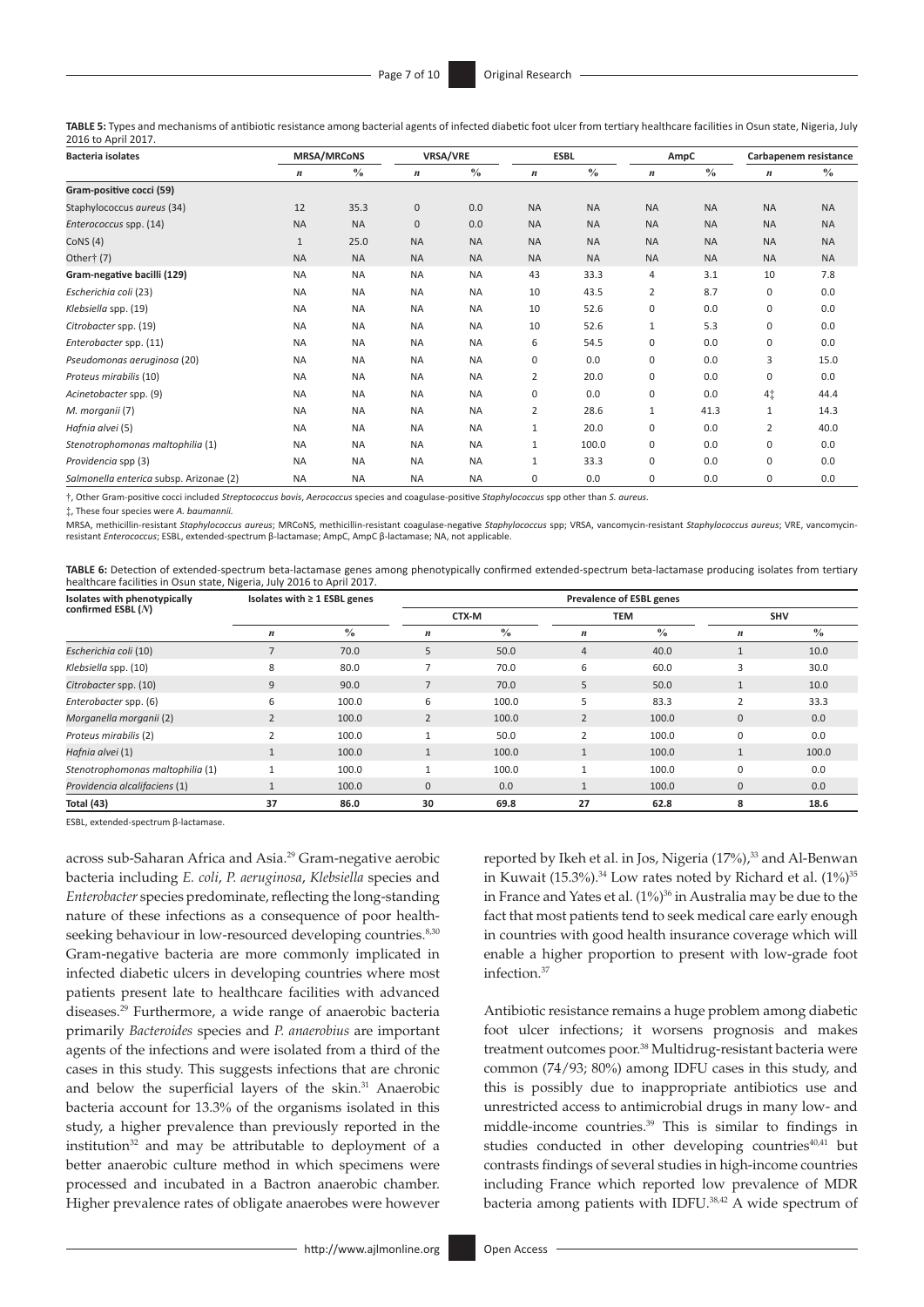**TABLE 5:** Types and mechanisms of antibiotic resistance among bacterial agents of infected diabetic foot ulcer from tertiary healthcare facilities in Osun state, Nigeria, July 2016 to April 2017.

| <b>Bacteria isolates</b>                | <b>MRSA/MRCoNS</b> |               | VRSA/VRE         |               | <b>ESBL</b>      |               | AmpC             |               | Carbapenem resistance |           |
|-----------------------------------------|--------------------|---------------|------------------|---------------|------------------|---------------|------------------|---------------|-----------------------|-----------|
|                                         | $\boldsymbol{n}$   | $\frac{0}{0}$ | $\boldsymbol{n}$ | $\frac{0}{0}$ | $\boldsymbol{n}$ | $\frac{0}{0}$ | $\boldsymbol{n}$ | $\frac{0}{0}$ | $\boldsymbol{n}$      | $\%$      |
| Gram-positive cocci (59)                |                    |               |                  |               |                  |               |                  |               |                       |           |
| Staphylococcus aureus (34)              | 12                 | 35.3          | 0                | 0.0           | <b>NA</b>        | <b>NA</b>     | <b>NA</b>        | <b>NA</b>     | <b>NA</b>             | <b>NA</b> |
| Enterococcus spp. (14)                  | <b>NA</b>          | <b>NA</b>     | $\mathbf{0}$     | 0.0           | <b>NA</b>        | <b>NA</b>     | <b>NA</b>        | <b>NA</b>     | <b>NA</b>             | <b>NA</b> |
| CoNS $(4)$                              | $\mathbf{1}$       | 25.0          | <b>NA</b>        | <b>NA</b>     | <b>NA</b>        | <b>NA</b>     | <b>NA</b>        | <b>NA</b>     | <b>NA</b>             | <b>NA</b> |
| Other† (7)                              | <b>NA</b>          | <b>NA</b>     | <b>NA</b>        | <b>NA</b>     | <b>NA</b>        | <b>NA</b>     | <b>NA</b>        | <b>NA</b>     | <b>NA</b>             | <b>NA</b> |
| Gram-negative bacilli (129)             | <b>NA</b>          | <b>NA</b>     | <b>NA</b>        | <b>NA</b>     | 43               | 33.3          | 4                | 3.1           | 10                    | 7.8       |
| Escherichia coli (23)                   | <b>NA</b>          | <b>NA</b>     | <b>NA</b>        | <b>NA</b>     | 10               | 43.5          | 2                | 8.7           | 0                     | 0.0       |
| Klebsiella spp. (19)                    | <b>NA</b>          | <b>NA</b>     | <b>NA</b>        | <b>NA</b>     | 10               | 52.6          | 0                | 0.0           | 0                     | 0.0       |
| Citrobacter spp. (19)                   | <b>NA</b>          | <b>NA</b>     | <b>NA</b>        | <b>NA</b>     | 10               | 52.6          | 1                | 5.3           | 0                     | 0.0       |
| Enterobacter spp. (11)                  | <b>NA</b>          | <b>NA</b>     | <b>NA</b>        | <b>NA</b>     | 6                | 54.5          | 0                | 0.0           | 0                     | 0.0       |
| Pseudomonas aeruginosa (20)             | <b>NA</b>          | <b>NA</b>     | <b>NA</b>        | <b>NA</b>     | $\mathbf 0$      | 0.0           | 0                | 0.0           | 3                     | 15.0      |
| Proteus mirabilis (10)                  | <b>NA</b>          | <b>NA</b>     | <b>NA</b>        | <b>NA</b>     | 2                | 20.0          | 0                | 0.0           | 0                     | 0.0       |
| Acinetobacter spp. (9)                  | <b>NA</b>          | <b>NA</b>     | <b>NA</b>        | <b>NA</b>     | 0                | 0.0           | 0                | 0.0           | 4‡                    | 44.4      |
| M. morganii (7)                         | <b>NA</b>          | <b>NA</b>     | <b>NA</b>        | <b>NA</b>     | 2                | 28.6          | 1                | 41.3          | $\mathbf{1}$          | 14.3      |
| Hafnia alvei (5)                        | <b>NA</b>          | <b>NA</b>     | <b>NA</b>        | <b>NA</b>     | $\mathbf{1}$     | 20.0          | 0                | 0.0           | 2                     | 40.0      |
| Stenotrophomonas maltophilia (1)        | <b>NA</b>          | <b>NA</b>     | <b>NA</b>        | <b>NA</b>     | $\mathbf{1}$     | 100.0         | 0                | 0.0           | 0                     | 0.0       |
| Providencia spp (3)                     | <b>NA</b>          | <b>NA</b>     | <b>NA</b>        | <b>NA</b>     | $\mathbf{1}$     | 33.3          | 0                | 0.0           | 0                     | 0.0       |
| Salmonella enterica subsp. Arizonae (2) | <b>NA</b>          | <b>NA</b>     | <b>NA</b>        | <b>NA</b>     | 0                | 0.0           | 0                | 0.0           | $\mathbf 0$           | 0.0       |

†, Other Gram-positive cocci included *Streptococcus bovis*, *Aerococcus* species and coagulase-positive *Staphylococcus* spp other than *S. aureus.*

‡, These four species were *A. baumannii.*

MRSA, methicillin-resistant *Staphylococcus aureus*; MRCoNS, methicillin-resistant coagulase-negative *Staphylococcus* spp; VRSA, vancomycin-resistant *Staphylococcus aureus*; VRE, vancomycinresistant *Enterococcus*; ESBL, extended-spectrum β-lactamase; AmpC, AmpC β-lactamase; NA, not applicable.

**TABLE 6:** Detection of extended-spectrum beta-lactamase genes among phenotypically confirmed extended-spectrum beta-lactamase producing isolates from tertiary healthcare facilities in Osun state, Nigeria, July 2016 to April 2017.

| Isolates with phenotypically     | Isolates with $\geq 1$ ESBL genes |               | <b>Prevalence of ESBL genes</b> |               |                  |               |                  |               |  |
|----------------------------------|-----------------------------------|---------------|---------------------------------|---------------|------------------|---------------|------------------|---------------|--|
| confirmed ESBL $(N)$             |                                   |               | CTX-M                           |               | <b>TEM</b>       |               |                  | <b>SHV</b>    |  |
|                                  | $\boldsymbol{n}$                  | $\frac{0}{0}$ | $\boldsymbol{n}$                | $\frac{0}{0}$ | $\boldsymbol{n}$ | $\frac{0}{0}$ | $\boldsymbol{n}$ | $\frac{0}{0}$ |  |
| Escherichia coli (10)            |                                   | 70.0          | 5                               | 50.0          | $\overline{4}$   | 40.0          |                  | 10.0          |  |
| Klebsiella spp. (10)             | 8                                 | 80.0          |                                 | 70.0          | 6                | 60.0          | 3                | 30.0          |  |
| Citrobacter spp. (10)            | 9                                 | 90.0          |                                 | 70.0          | 5                | 50.0          |                  | 10.0          |  |
| Enterobacter spp. (6)            | 6                                 | 100.0         | 6                               | 100.0         | 5                | 83.3          | 2                | 33.3          |  |
| Morganella morganii (2)          |                                   | 100.0         | $\overline{2}$                  | 100.0         | $\overline{2}$   | 100.0         | $\mathbf{0}$     | 0.0           |  |
| Proteus mirabilis (2)            |                                   | 100.0         |                                 | 50.0          |                  | 100.0         | $\mathbf 0$      | 0.0           |  |
| Hafnia alvei (1)                 |                                   | 100.0         | $\mathbf{1}$                    | 100.0         |                  | 100.0         |                  | 100.0         |  |
| Stenotrophomonas maltophilia (1) |                                   | 100.0         | $\overline{a}$                  | 100.0         |                  | 100.0         | $\Omega$         | 0.0           |  |
| Providencia alcalifaciens (1)    |                                   | 100.0         | $\mathbf{0}$                    | 0.0           |                  | 100.0         | $\mathbf{0}$     | 0.0           |  |
| Total (43)                       | 37                                | 86.0          | 30                              | 69.8          | 27               | 62.8          | 8                | 18.6          |  |

ESBL, extended-spectrum β-lactamase.

<span id="page-6-3"></span><span id="page-6-2"></span><span id="page-6-0"></span>across sub-Saharan Africa and Asia[.29](#page-8-28) Gram-negative aerobic bacteria including *E. coli*, *P. aeruginosa*, *Klebsiella* species and *Enterobacter* species predominate, reflecting the long-standing nature of these infections as a consequence of poor health-seeking behaviour in low-resourced developing countries.<sup>8[,30](#page-8-29)</sup> Gram-negative bacteria are more commonly implicated in infected diabetic ulcers in developing countries where most patients present late to healthcare facilities with advanced diseases[.29](#page-8-28) Furthermore, a wide range of anaerobic bacteria primarily *Bacteroides* species and *P. anaerobius* are important agents of the infections and were isolated from a third of the cases in this study. This suggests infections that are chronic and below the superficial layers of the skin.<sup>[31](#page-8-30)</sup> Anaerobic bacteria account for 13.3% of the organisms isolated in this study, a higher prevalence than previously reported in the institution $32$  and may be attributable to deployment of a better anaerobic culture method in which specimens were processed and incubated in a Bactron anaerobic chamber. Higher prevalence rates of obligate anaerobes were however

<span id="page-6-7"></span><span id="page-6-6"></span><span id="page-6-5"></span><span id="page-6-4"></span><span id="page-6-1"></span>reported by Ikeh et al. in Jos, Nigeria (17%),<sup>33</sup> and Al-Benwan in Kuwait  $(15.3\%)$ .<sup>[34](#page-8-33)</sup> Low rates noted by Richard et al.  $(1\%)$ <sup>[35](#page-8-34)</sup> in France and Yates et al. (1%) [36](#page-8-35) in Australia may be due to the fact that most patients tend to seek medical care early enough in countries with good health insurance coverage which will enable a higher proportion to present with low-grade foot infection.[37](#page-8-36)

<span id="page-6-13"></span><span id="page-6-12"></span><span id="page-6-11"></span><span id="page-6-10"></span><span id="page-6-9"></span><span id="page-6-8"></span>Antibiotic resistance remains a huge problem among diabetic foot ulcer infections; it worsens prognosis and makes treatment outcomes poor.[38](#page-8-37) Multidrug-resistant bacteria were common (74/93; 80%) among IDFU cases in this study, and this is possibly due to inappropriate antibiotics use and unrestricted access to antimicrobial drugs in many low- and middle-income countries.[39](#page-8-38) This is similar to findings in studies conducted in other developing countries<sup>[40](#page-8-39),41</sup> but contrasts findings of several studies in high-income countries including France which reported low prevalence of MDR bacteria among patients with IDFU[.38,](#page-8-37)[42](#page-8-41) A wide spectrum of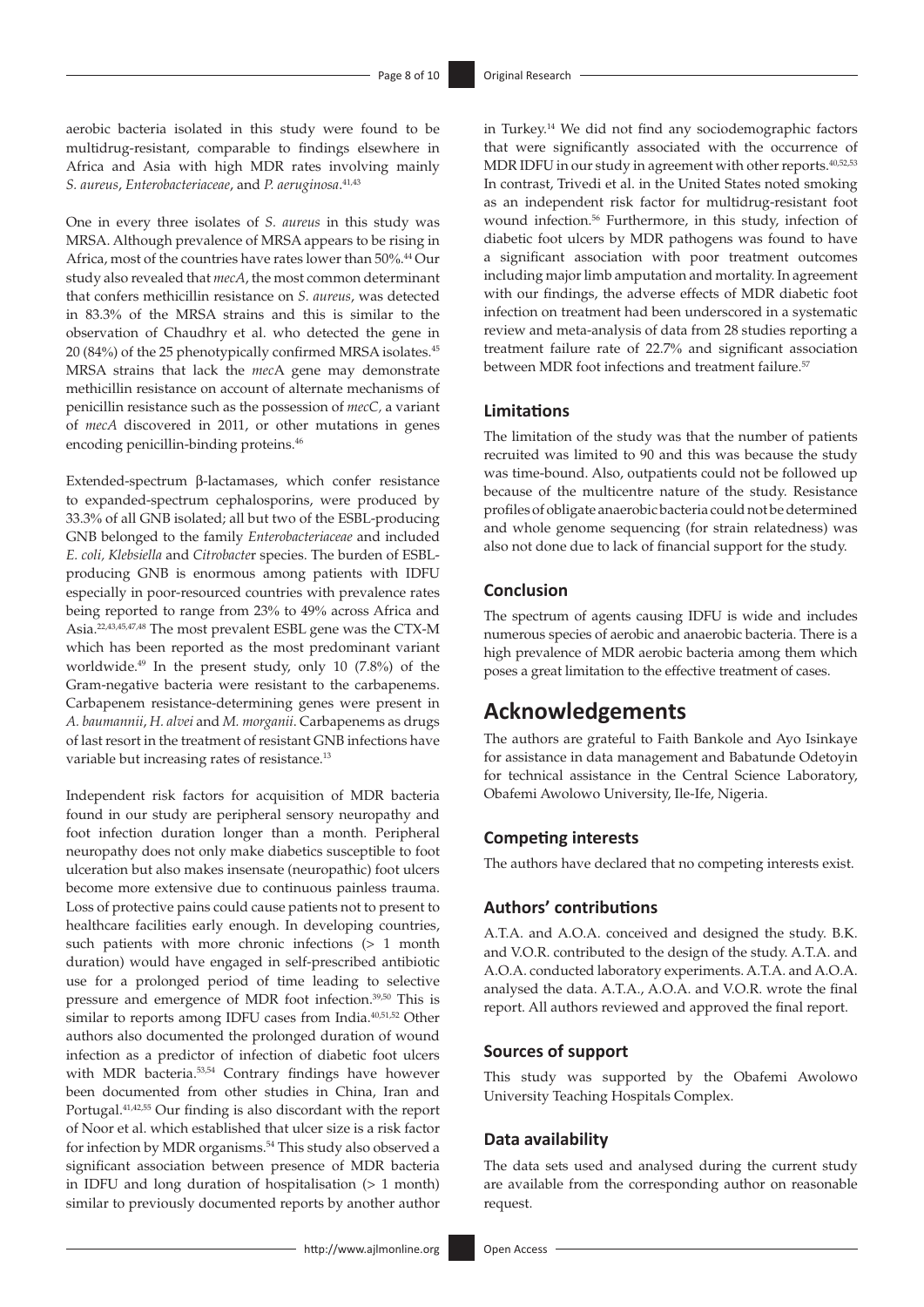aerobic bacteria isolated in this study were found to be multidrug-resistant, comparable to findings elsewhere in Africa and Asia with high MDR rates involving mainly *S. aureus*, *Enterobacteriaceae*, and *P. aeruginosa*. [41](#page-8-40)[,43](#page-8-42)

<span id="page-7-2"></span>One in every three isolates of *S. aureus* in this study was MRSA. Although prevalence of MRSA appears to be rising in Africa, most of the countries have rates lower than 50%. [44](#page-8-43) Our study also revealed that *mecA*, the most common determinant that confers methicillin resistance on *S. aureus*, was detected in 83.3% of the MRSA strains and this is similar to the observation of Chaudhry et al. who detected the gene in 20 (84%) of the 25 phenotypically confirmed MRSA isolates[.45](#page-8-44) MRSA strains that lack the *mec*A gene may demonstrate methicillin resistance on account of alternate mechanisms of penicillin resistance such as the possession of *mecC,* a variant of *mecA* discovered in 2011, or other mutations in genes encoding penicillin-binding proteins.<sup>46</sup>

<span id="page-7-4"></span><span id="page-7-3"></span>Extended-spectrum β-lactamases, which confer resistance to expanded-spectrum cephalosporins, were produced by 33.3% of all GNB isolated; all but two of the ESBL-producing GNB belonged to the family *Enterobacteriaceae* and included *E. coli, Klebsiella* and *Citrobacte*r species. The burden of ESBLproducing GNB is enormous among patients with IDFU especially in poor-resourced countries with prevalence rates being reported to range from 23% to 49% across Africa and Asia.[22](#page-8-21)[,43,](#page-8-42)[45](#page-8-44)[,47,](#page-8-46)[48](#page-8-47) The most prevalent ESBL gene was the CTX-M which has been reported as the most predominant variant worldwide.[49](#page-8-48) In the present study, only 10 (7.8%) of the Gram-negative bacteria were resistant to the carbapenems. Carbapenem resistance-determining genes were present in *A. baumannii*, *H. alvei* and *M. morganii*. Carbapenems as drugs of last resort in the treatment of resistant GNB infections have variable but increasing rates of resistance.<sup>13</sup>

<span id="page-7-8"></span><span id="page-7-5"></span>Independent risk factors for acquisition of MDR bacteria found in our study are peripheral sensory neuropathy and foot infection duration longer than a month. Peripheral neuropathy does not only make diabetics susceptible to foot ulceration but also makes insensate (neuropathic) foot ulcers become more extensive due to continuous painless trauma. Loss of protective pains could cause patients not to present to healthcare facilities early enough. In developing countries, such patients with more chronic infections (> 1 month duration) would have engaged in self-prescribed antibiotic use for a prolonged period of time leading to selective pressure and emergence of MDR foot infection[.39](#page-8-38),[50](#page-8-49) This is similar to reports among IDFU cases from India[.40](#page-8-39),[51](#page-9-0)[,52](#page-9-1) Other authors also documented the prolonged duration of wound infection as a predictor of infection of diabetic foot ulcers with MDR bacteria.<sup>[53](#page-9-2),54</sup> Contrary findings have however been documented from other studies in China, Iran and Portugal[.41](#page-8-40),[42](#page-8-41)[,55](#page-9-4) Our finding is also discordant with the report of Noor et al. which established that ulcer size is a risk factor for infection by MDR organisms.[54](#page-9-3) This study also observed a significant association between presence of MDR bacteria in IDFU and long duration of hospitalisation (> 1 month) similar to previously documented reports by another author

<span id="page-7-11"></span><span id="page-7-1"></span><span id="page-7-0"></span>in Turkey[.14](#page-8-13) We did not find any sociodemographic factors that were significantly associated with the occurrence of MDR IDFU in our study in agreement with other reports.<sup>40,[52](#page-9-1),[53](#page-9-2)</sup> In contrast, Trivedi et al. in the United States noted smoking as an independent risk factor for multidrug-resistant foot wound infection.[56](#page-9-5) Furthermore, in this study, infection of diabetic foot ulcers by MDR pathogens was found to have a significant association with poor treatment outcomes including major limb amputation and mortality. In agreement with our findings, the adverse effects of MDR diabetic foot infection on treatment had been underscored in a systematic review and meta-analysis of data from 28 studies reporting a treatment failure rate of 22.7% and significant association between MDR foot infections and treatment failure.<sup>[57](#page-9-6)</sup>

#### <span id="page-7-12"></span>**Limitations**

The limitation of the study was that the number of patients recruited was limited to 90 and this was because the study was time-bound. Also, outpatients could not be followed up because of the multicentre nature of the study. Resistance profiles of obligate anaerobic bacteria could not be determined and whole genome sequencing (for strain relatedness) was also not done due to lack of financial support for the study.

#### **Conclusion**

The spectrum of agents causing IDFU is wide and includes numerous species of aerobic and anaerobic bacteria. There is a high prevalence of MDR aerobic bacteria among them which poses a great limitation to the effective treatment of cases.

# **Acknowledgements**

The authors are grateful to Faith Bankole and Ayo Isinkaye for assistance in data management and Babatunde Odetoyin for technical assistance in the Central Science Laboratory, Obafemi Awolowo University, Ile-Ife, Nigeria.

#### **Competing interests**

The authors have declared that no competing interests exist.

## **Authors' contributions**

A.T.A. and A.O.A. conceived and designed the study. B.K. and V.O.R. contributed to the design of the study. A.T.A. and A.O.A. conducted laboratory experiments. A.T.A. and A.O.A. analysed the data. A.T.A., A.O.A. and V.O.R. wrote the final report. All authors reviewed and approved the final report.

#### <span id="page-7-7"></span><span id="page-7-6"></span>**Sources of support**

<span id="page-7-9"></span>This study was supported by the Obafemi Awolowo University Teaching Hospitals Complex.

#### <span id="page-7-10"></span>**Data availability**

The data sets used and analysed during the current study are available from the corresponding author on reasonable request.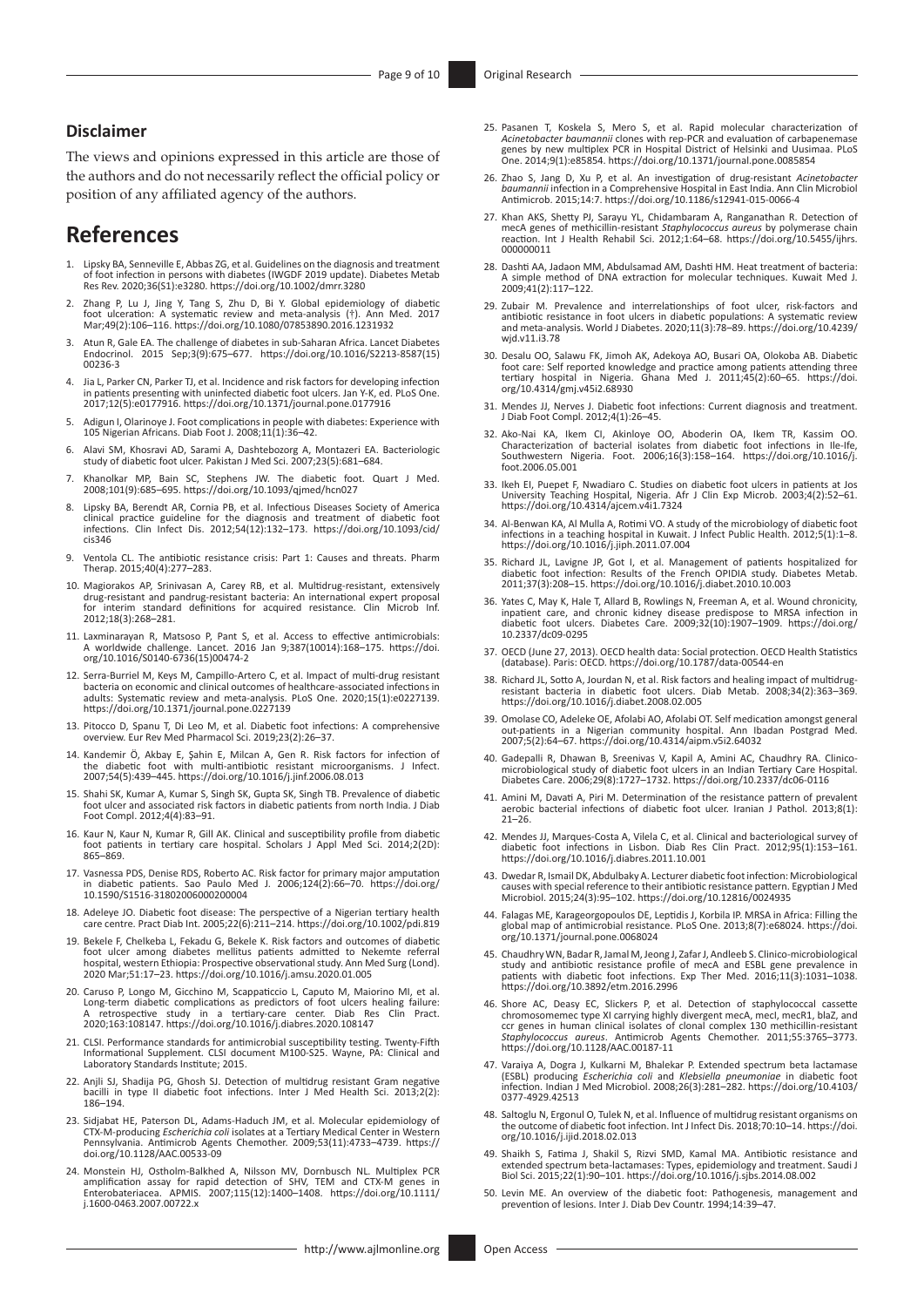#### **Disclaimer**

The views and opinions expressed in this article are those of the authors and do not necessarily reflect the official policy or position of any affiliated agency of the authors.

# **References**

- <span id="page-8-0"></span>[1.](#page-0-0) Lipsky BA, Senneville E, Abbas ZG, et al. Guidelines on the diagnosis and treatment of foot infection in persons with diabetes (IWGDF 2019 update). Diabetes Metab Res Rev. 2020;36(S1):e3280.<https://doi.org/10.1002/dmrr.3280>
- <span id="page-8-1"></span>[2.](#page-0-1) Zhang P, Lu J, Jing Y, Tang S, Zhu D, Bi Y. Global epidemiology of diabetic foot ulceration: A systematic review and meta-analysis (†). Ann Med. 2017 Mar;49(2):106–116.<https://doi.org/10.1080/07853890.2016.1231932>
- <span id="page-8-2"></span>[3.](#page-0-2) Atun R, Gale EA. The challenge of diabetes in sub-Saharan Africa. Lancet Diabetes Endocrinol. 2015 Sep;3(9):675–677. [https://doi.org/10.1016/S2213-8587\(15\)](https://doi.org/10.1016/S2213-8587(15)00236-3) [00236-3](https://doi.org/10.1016/S2213-8587(15)00236-3)
- <span id="page-8-3"></span>[4.](#page-0-3) Jia L, Parker CN, Parker TJ, et al. Incidence and risk factors for developing infection in patients presenting with uninfected diabetic foot ulcers. Jan Y-K, ed. PLoS One. 2017;12(5):e0177916.<https://doi.org/10.1371/journal.pone.0177916>
- <span id="page-8-4"></span>[5.](#page-0-4) Adigun I, Olarinoye J. Foot complications in people with diabetes: Experience with 105 Nigerian Africans. Diab Foot J. 2008;11(1):36–42.
- <span id="page-8-5"></span>[6.](#page-0-5) Alavi SM, Khosravi AD, Sarami A, Dashtebozorg A, Montazeri EA. Bacteriologic study of diabetic foot ulcer. Pakistan J Med Sci. 2007;23(5):681–684.
- <span id="page-8-6"></span>Khanolkar MP, Bain SC, Stephens JW. The diabetic foot. Quart J Med. 2008;101(9):685–695.<https://doi.org/10.1093/qjmed/hcn027>
- <span id="page-8-7"></span>[8.](#page-1-0) Lipsky BA, Berendt AR, Cornia PB, et al. Infectious Diseases Society of America clinical practice guideline for the diagnosis and treatment of diabetic foot infections. Clin Infect Dis. 2012;54(12):132–173. [https://doi.org/10.1093/cid/](https://doi.org/10.1093/cid/cis346) [cis346](https://doi.org/10.1093/cid/cis346)
- <span id="page-8-8"></span>[9.](#page-1-1) Ventola CL. The antibiotic resistance crisis: Part 1: Causes and threats. Pharm Therap. 2015;40(4):277–283.
- <span id="page-8-9"></span>[10.](#page-1-2) Magiorakos AP, Srinivasan A, Carey RB, et al. Multidrug-resistant, extensively drug-resistant and pandrug-resistant bacteria: An international expert proposal interim standard definitions for acquired resistance. Clin Microb Inf. 2012;18(3):268–281.
- <span id="page-8-10"></span>[11.](#page-1-3) Laxminarayan R, Matsoso P, Pant S, et al. Access to effective antimicrobials: A worldwide challenge. Lancet. 2016 Jan 9;387(10014):168–175. [https://doi.](https://doi.org/10.1016/S0140-6736(15)00474-2) [org/10.1016/S0140-6736\(15\)00474-2](https://doi.org/10.1016/S0140-6736(15)00474-2)
- <span id="page-8-11"></span>[12.](#page-1-4) Serra-Burriel M, Keys M, Campillo-Artero C, et al. Impact of multi-drug resistant bacteria on economic and clinical outcomes of healthcare-associated infections in adults: Systematic review and meta-analysis. PLoS One. 2020;15(1):e0227139. <https://doi.org/10.1371/journal.pone.0227139>
- <span id="page-8-12"></span>[13.](#page-1-5) Pitocco D, Spanu T, Di Leo M, et al. Diabetic foot infections: A comprehensive overview. Eur Rev Med Pharmacol Sci. 2019;23(2):26–37.
- <span id="page-8-13"></span>[14.](#page-1-6) Kandemir Ö, Akbay E, Şahin E, Milcan A, Gen R. Risk factors for infection of the diabetic foot with multi-antibiotic resistant microorganisms. J Infect. 2007;54(5):439–445. <https://doi.org/10.1016/j.jinf.2006.08.013>
- <span id="page-8-14"></span>[15.](#page-1-7) Shahi SK, Kumar A, Kumar S, Singh SK, Gupta SK, Singh TB. Prevalence of diabetic<br>foot ulcer and associated risk factors in diabetic patients from north India. J Diab<br>Foot Compl. 2012;4(4):83–91.
- <span id="page-8-15"></span>[16.](#page-1-7) Kaur N, Kaur N, Kumar R, Gill AK. Clinical and susceptibility profile from diabetic foot patients in tertiary care hospital. Scholars J Appl Med Sci. 2014;2(2D): 865–869.
- <span id="page-8-16"></span>[17.](#page-1-7) Vasnessa PDS, Denise RDS, Roberto AC. Risk factor for primary major amputation in diabetic patients. Sao Paulo Med J. 2006;124(2):66–70. [https://doi.org/](https://doi.org/10.1590/S1516-31802006000200004) [10.1590/S1516-31802006000200004](https://doi.org/10.1590/S1516-31802006000200004)
- <span id="page-8-17"></span>[18.](#page-1-7) Adeleye JO. Diabetic foot disease: The perspective of a Nigerian tertiary health care centre. Pract Diab Int. 2005;22(6):211–214. <https://doi.org/10.1002/pdi.819>
- <span id="page-8-18"></span>[19.](#page-1-8) Bekele F, Chelkeba L, Fekadu G, Bekele K. Risk factors and outcomes of diabetic foot ulcer among diabetes mellitus patients admitted to Nekemte referral hospital, western Ethiopia: Prospective observational study. Ann Med Surg (Lond). 2020 Mar;51:17–23.<https://doi.org/10.1016/j.amsu.2020.01.005>
- <span id="page-8-19"></span>[20.](#page-1-9) Caruso P, Longo M, Gicchino M, Scappaticcio L, Caputo M, Maiorino MI, et al. Long-term diabetic complications as predictors of foot ulcers healing failure: A retrospective study in a tertiary-care center. Diab Res Clin Pract. 2020;163:108147.<https://doi.org/10.1016/j.diabres.2020.108147>
- <span id="page-8-20"></span>[21.](#page-2-0) CLSI. Performance standards for antimicrobial susceptibility testing. Twenty-Fifth Informational Supplement. CLSI document M100-S25. Wayne, PA: Clinical and Laboratory Standards Institute; 2015.
- <span id="page-8-21"></span>[22.](#page-2-1) Anjli SJ, Shadija PG, Ghosh SJ. Detection of multidrug resistant Gram negative bacilli in type II diabetic foot infections. Inter J Med Health Sci. 2013;2(2): 186–194.
- <span id="page-8-22"></span>[23.](#page-2-2) Sidjabat HE, Paterson DL, Adams-Haduch JM, et al. Molecular epidemiology of CTX-M-producing *Escherichia coli* isolates at a Tertiary Medical Center in Western Pennsylvania. Antimicrob Agents Chemother. 2009;53(11):4733–4739. [https://](https://doi.org/10.1128/AAC.00533-09) [doi.org/10.1128/AAC.00533-09](https://doi.org/10.1128/AAC.00533-09)
- <span id="page-8-25"></span>[24.](#page-3-0) Monstein HJ, Ostholm-Balkhed A, Nilsson MV, Dornbusch NL. Multiplex PCR amplification assay for rapid detection of SHV, TEM and CTX-M genes in Enterobateriacea. APMIS. 2007;115(12):1400–1408. [https://doi.org/10.1111/](https://doi.org/10.1111/j.1600-0463.2007.00722.x) [j.1600-0463.2007.00722.x](https://doi.org/10.1111/j.1600-0463.2007.00722.x)
- <span id="page-8-26"></span>[25.](#page-3-1) Pasanen T, Koskela S, Mero S, et al. Rapid molecular characterization of Acinetobacter bournannii clones with rep-PCR and evaluation of carbapenemase genes by new multiplex PCR in Hospital District of Helsinki and Uusi
- <span id="page-8-27"></span>[26.](#page-3-1) Zhao S, Jang D, Xu P, et al. An investigation of drug-resistant *Acinetobacter baumannii* infection in a Comprehensive Hospital in East India. Ann Clin Microbiol Antimicrob. 2015;14:7. <https://doi.org/10.1186/s12941-015-0066-4>
- <span id="page-8-23"></span>[27.](#page-2-3) Khan AKS, Shetty PJ, Sarayu YL, Chidambaram A, Ranganathan R. Detection of mecA genes of methicillin-resistant *Staphylococcus aureus* by polymerase chain reaction. Int J Health Rehabil Sci. 2012;1:64–68. [https://doi.org/10.5455/ijhrs.](https://doi.org/10.5455/ijhrs.000000011) [000000011](https://doi.org/10.5455/ijhrs.000000011)
- <span id="page-8-24"></span>[28.](#page-2-4) Dashti AA, Jadaon MM, Abdulsamad AM, Dashti HM. Heat treatment of bacteria: A simple method of DNA extraction for molecular techniques. Kuwait Med J. 2009;41(2):117–122.
- <span id="page-8-28"></span>[29.](#page-6-0) Zubair M. Prevalence and interrelationships of foot ulcer, risk-factors and antibiotic resistance in foot ulcers in diabetic populations: A systematic review and meta-analysis. World J Diabetes. 2020;11(3):78–89. [https://doi.org/10.4239/](https://doi.org/10.4239/wjd.v11.i3.78) [wjd.v11.i3.78](https://doi.org/10.4239/wjd.v11.i3.78)
- <span id="page-8-29"></span>[30.](#page-6-1) Desalu OO, Salawu FK, Jimoh AK, Adekoya AO, Busari OA, Olokoba AB. Diabetic foot care: Self reported knowledge and practice among patients attending three tertiary hospital in Nigeria. Ghana Med J. 2011;45(2):60–65. [https://doi.](https://doi.org/10.4314/gmj.v45i2.68930) [org/10.4314/gmj.v45i2.68930](https://doi.org/10.4314/gmj.v45i2.68930)
- <span id="page-8-30"></span>[31.](#page-6-2) Mendes JJ, Nerves J. Diabetic foot infections: Current diagnosis and treatment. J Diab Foot Compl. 2012;4(1):26–45.
- <span id="page-8-31"></span>[32.](#page-6-3) Ako-Nai KA, Ikem CI, Akinloye OO, Aboderin OA, Ikem TR, Kassim OO.<br>Characterization of bacterial isolates from diabetic foot infections in Ile-Ife,<br>Southwestern Nigeria. Foot. 2006;16(3):158–164. https://doi.org/10.101 [foot.2006.05.001](https://doi.org/10.1016/j.foot.2006.05.001)
- <span id="page-8-32"></span>[33.](#page-6-4) Ikeh EI, Puepet F, Nwadiaro C. Studies on diabetic foot ulcers in patients at Jos University Teaching Hospital, Nigeria. Afr J Clin Exp Microb. 2003;4(2):52–61. <https://doi.org/10.4314/ajcem.v4i1.7324>
- <span id="page-8-33"></span>[34.](#page-6-5) Al-Benwan KA, Al Mulla A, Rotimi VO. A study of the microbiology of diabetic foot infections in a teaching hospital in Kuwait. J Infect Public Health. 2012;5(1):1–8. <https://doi.org/10.1016/j.jiph.2011.07.004>
- <span id="page-8-34"></span>[35.](#page-6-6) Richard JL, Lavigne JP, Got I, et al. Management of patients hospitalized for diabetic foot infection: Results of the French OPIDIA study. Diabetes Metab. 2011;37(3):208–15. <https://doi.org/10.1016/j.diabet.2010.10.003>
- <span id="page-8-35"></span>[36.](#page-6-7) Yates C, May K, Hale T, Allard B, Rowlings N, Freeman A, et al. Wound chronicity, inpatient care, and chronic kidney disease predispose to MRSA infection in diabetic foot ulcers. Diabetes Care. 2009;32(10):1907–1909. [https://doi.org/](https://doi.org/10.2337/dc09-0295) [10.2337/dc09-0295](https://doi.org/10.2337/dc09-0295)
- <span id="page-8-36"></span>[37.](#page-6-8) OECD (June 27, 2013). OECD health data: Social protection. OECD Health Statistics (database). Paris: OECD. <https://doi.org/10.1787/data-00544-en>
- <span id="page-8-37"></span>[38.](#page-6-9) Richard JL, Sotto A, Jourdan N, et al. Risk factors and healing impact of multidrug-resistant bacteria in diabetic foot ulcers. Diab Metab. 2008;34(2):363–369. <https://doi.org/10.1016/j.diabet.2008.02.005>
- <span id="page-8-38"></span>[39.](#page-6-10) Omolase CO, Adeleke OE, Afolabi AO, Afolabi OT. Self medication amongst general out-patients in a Nigerian community hospital. Ann Ibadan Postgrad Med. 2007;5(2):64–67.<https://doi.org/10.4314/aipm.v5i2.64032>
- <span id="page-8-39"></span>[40.](#page-6-11) Gadepalli R, Dhawan B, Sreenivas V, Kapil A, Amini AC, Chaudhry RA. Clinicomicrobiological study of diabetic foot ulcers in an Indian Tertiary Care Hospital. Diabetes Care. 2006;29(8):1727–1732. <https://doi.org/10.2337/dc06-0116>
- <span id="page-8-40"></span>[41.](#page-6-12) Amini M, Davati A, Piri M. Determination of the resistance pattern of prevalent aerobic bacterial infections of diabetic foot ulcer. Iranian J Pathol. 2013;8(1):  $21 - 26$ .
- <span id="page-8-41"></span>[42.](#page-6-13) Mendes JJ, Marques-Costa A, Vilela C, et al. Clinical and bacteriological survey of diabetic foot infections in Lisbon. Diab Res Clin Pract. 2012;95(1):153–161. <https://doi.org/10.1016/j.diabres.2011.10.001>
- <span id="page-8-42"></span>[43.](#page-7-0) Dwedar R, Ismail DK, Abdulbaky A. Lecturer diabetic foot infection: Microbiological causes with special reference to their antibiotic resistance pattern. Egyptian J Med Microbiol. 2015;24(3):95–102.<https://doi.org/10.12816/0024935>
- <span id="page-8-43"></span>[44.](#page-7-1) Falagas ME, Karageorgopoulos DE, Leptidis J, Korbila IP. MRSA in Africa: Filling the global map of antimicrobial resistance. PLoS One. 2013;8(7):e68024. [https://doi.](https://doi.org/10.1371/journal.pone.0068024) [org/10.1371/journal.pone.0068024](https://doi.org/10.1371/journal.pone.0068024)
- <span id="page-8-44"></span>[45.](#page-7-2) Chaudhry WN, Badar R, Jamal M, Jeong J, Zafar J, Andleeb S. Clinico-microbiological<br>study and antibiotic resistance profile of mecA and ESBL gene prevalence in<br>patients with diabetic foot infections. Exp Ther Med. 2016 <https://doi.org/10.3892/etm.2016.2996>
- <span id="page-8-45"></span>[46.](#page-7-3) Shore AC, Deasy EC, Slickers P, et al. Detection of staphylococcal cassette chromosomemec type XI carrying highly divergent mecA, mecI, mecR1, blaZ, and ccr genes in human clinical isolates of clonal complex 130 methicillin-resistant<br>*Staphylococcus aureus.* Antimicrob Agents Chemother. 2011;55:3765–3773.<br><https://doi.org/10.1128/AAC.00187-11>
- <span id="page-8-46"></span>[47.](#page-7-4) Varaiya A, Dogra J, Kulkarni M, Bhalekar P. Extended spectrum beta lactamase (ESBL) producing *Escherichia coli* and *Klebsiella pneumoniae* in diabetic foot infection. Indian J Med Microbiol. 2008;26(3):281–282. [https://doi.org/10.4103/](https://doi.org/10.4103/0377-4929.42513) [0377-4929.42513](https://doi.org/10.4103/0377-4929.42513)
- <span id="page-8-47"></span>[48.](#page-7-4) Saltoglu N, Ergonul O, Tulek N, et al. Influence of multidrug resistant organisms on the outcome of diabetic foot infection. Int J Infect Dis. 2018;70:10–14. [https://doi.](https://doi.org/10.1016/j.ijid.2018.02.013) [org/10.1016/j.ijid.2018.02.013](https://doi.org/10.1016/j.ijid.2018.02.013)
- <span id="page-8-48"></span>[49.](#page-7-5) Shaikh S, Fatima J, Shakil S, Rizvi SMD, Kamal MA. Antibiotic resistance and extended spectrum beta-lactamases: Types, epidemiology and treatment. Saudi J Biol Sci. 2015;22(1):90–101. <https://doi.org/10.1016/j.sjbs.2014.08.002>
- <span id="page-8-49"></span>[50.](#page-7-6) Levin ME. An overview of the diabetic foot: Pathogenesis, management and prevention of lesions. Inter J. Diab Dev Countr. 1994;14:39–47.